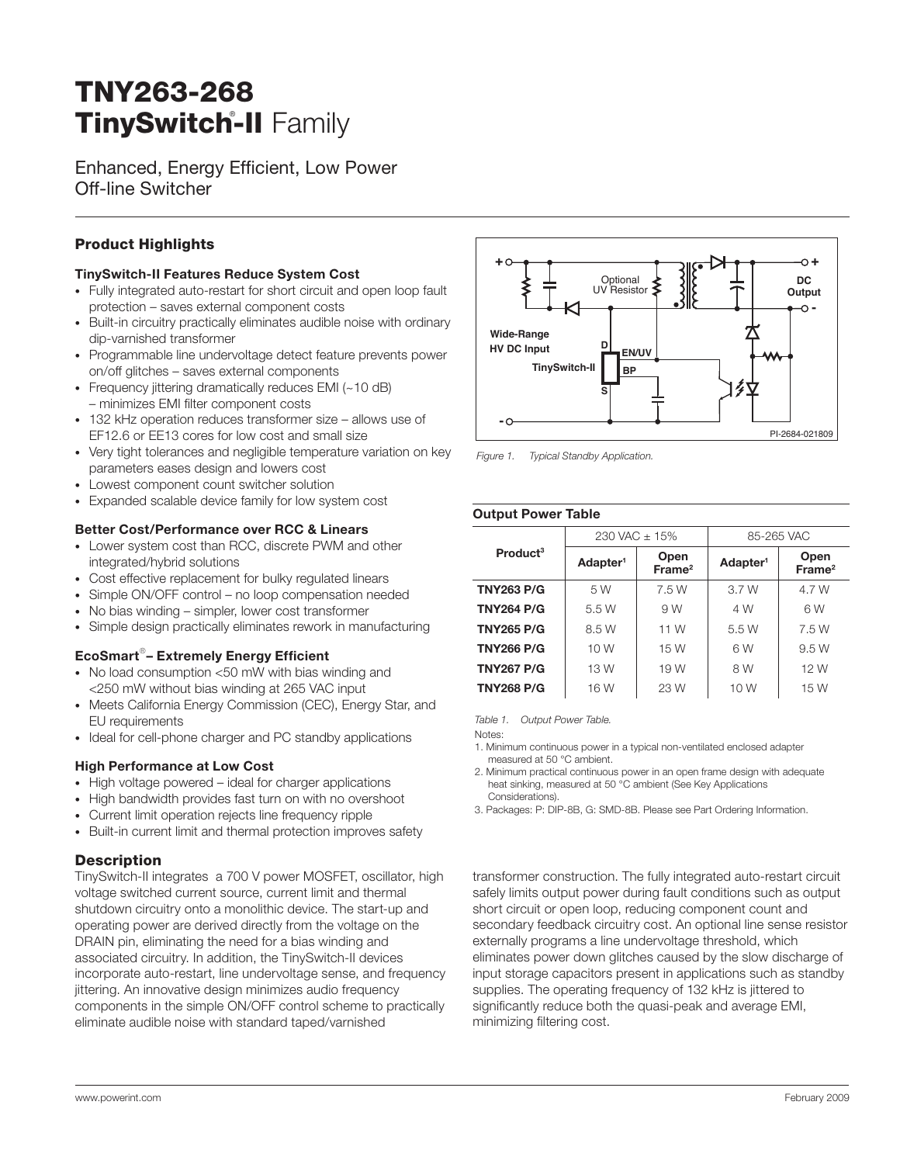# **TNY263-268 TinySwitch-II** Family ®

Enhanced, Energy Efficient, Low Power Off-line Switcher

# **Product Highlights**

#### **TinySwitch-II Features Reduce System Cost**

- Fully integrated auto-restart for short circuit and open loop fault protection – saves external component costs
- Built-in circuitry practically eliminates audible noise with ordinary dip-varnished transformer
- Programmable line undervoltage detect feature prevents power on/off glitches – saves external components •
- Frequency jittering dramatically reduces EMI (~10 dB) – minimizes EMI filter component costs •
- 132 kHz operation reduces transformer size allows use of EF12.6 or EE13 cores for low cost and small size
- Very tight tolerances and negligible temperature variation on key parameters eases design and lowers cost •
- Lowest component count switcher solution •
- Expanded scalable device family for low system cost •

#### **Better Cost/Performance over RCC & Linears**

- Lower system cost than RCC, discrete PWM and other integrated/hybrid solutions
- Cost effective replacement for bulky regulated linears •
- Simple ON/OFF control no loop compensation needed •
- No bias winding simpler, lower cost transformer •
- Simple design practically eliminates rework in manufacturing

#### **EcoSmart**® **– Extremely Energy Effi cient**

- No load consumption <50 mW with bias winding and <250 mW without bias winding at 265 VAC input
- Meets California Energy Commission (CEC), Energy Star, and EU requirements
- Ideal for cell-phone charger and PC standby applications

#### **High Performance at Low Cost**

- High voltage powered ideal for charger applications
- High bandwidth provides fast turn on with no overshoot
- Current limit operation rejects line frequency ripple •
- Built-in current limit and thermal protection improves safety

#### **Description**

TinySwitch-II integrates a 700 V power MOSFET, oscillator, high voltage switched current source, current limit and thermal shutdown circuitry onto a monolithic device. The start-up and operating power are derived directly from the voltage on the DRAIN pin, eliminating the need for a bias winding and associated circuitry. In addition, the TinySwitch-II devices incorporate auto-restart, line undervoltage sense, and frequency jittering. An innovative design minimizes audio frequency components in the simple ON/OFF control scheme to practically eliminate audible noise with standard taped/varnished



Figure 1. Typical Standby Application.

| <b>Output Power Table</b> |                      |                                                    |            |                            |  |  |
|---------------------------|----------------------|----------------------------------------------------|------------|----------------------------|--|--|
|                           | 230 VAC $\pm$ 15%    |                                                    | 85-265 VAC |                            |  |  |
| Product <sup>3</sup>      | Adapter <sup>1</sup> | Open<br>Adapter <sup>1</sup><br>Frame <sup>2</sup> |            | Open<br>Frame <sup>2</sup> |  |  |
| <b>TNY263 P/G</b>         | 5 W                  | 7.5 W                                              | 3.7W       | 4.7 W                      |  |  |
| <b>TNY264 P/G</b>         | 5.5 W                | 9 W                                                | 4 W        | 6W                         |  |  |
| <b>TNY265 P/G</b>         | 8.5 W                | 11 W                                               | 5.5 W      | 7.5 W                      |  |  |
| <b>TNY266 P/G</b>         | 10 W                 | 15 W                                               | 6W         | 9.5 W                      |  |  |
| <b>TNY267 P/G</b>         | 13 W                 | 19 W                                               | 8 W        | 12 W                       |  |  |
| <b>TNY268 P/G</b>         | 16 W                 | 23 W                                               | 10 W       | 15 W                       |  |  |

Table 1. Output Power Table.

Notes:

- 1. Minimum continuous power in a typical non-ventilated enclosed adapter measured at 50 °C ambient.
- 2. Minimum practical continuous power in an open frame design with adequate heat sinking, measured at 50 °C ambient (See Key Applications Considerations).
- 3. Packages: P: DIP-8B, G: SMD-8B. Please see Part Ordering Information.

transformer construction. The fully integrated auto-restart circuit safely limits output power during fault conditions such as output short circuit or open loop, reducing component count and secondary feedback circuitry cost. An optional line sense resistor externally programs a line undervoltage threshold, which eliminates power down glitches caused by the slow discharge of input storage capacitors present in applications such as standby supplies. The operating frequency of 132 kHz is jittered to significantly reduce both the quasi-peak and average EMI, minimizing filtering cost.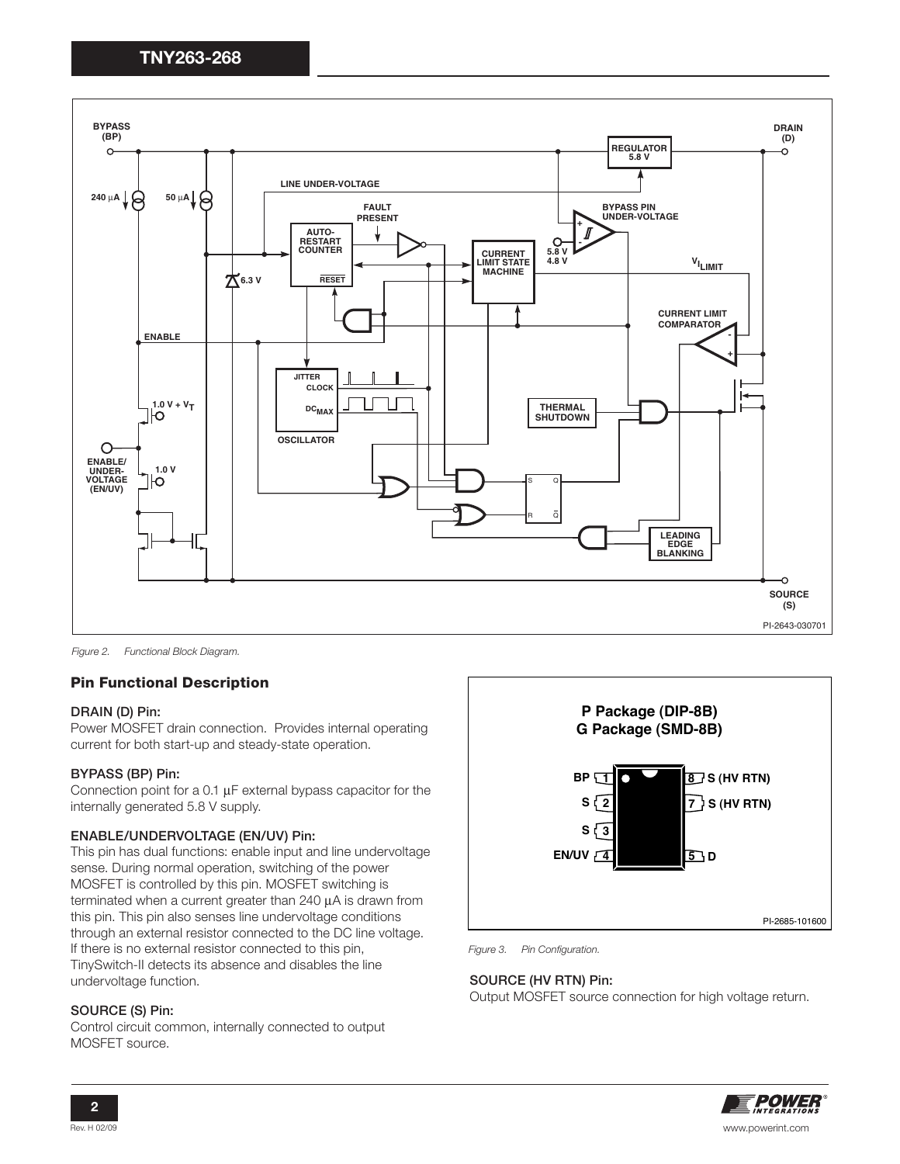

Figure 2. Functional Block Diagram.

#### **Pin Functional Description**

#### **DRAIN (D) Pin:**

Power MOSFET drain connection. Provides internal operating current for both start-up and steady-state operation.

#### **BYPASS (BP) Pin:**

Connection point for a 0.1 μF external bypass capacitor for the internally generated 5.8 V supply.

#### **ENABLE/UNDERVOLTAGE (EN/UV) Pin:**

This pin has dual functions: enable input and line undervoltage sense. During normal operation, switching of the power MOSFET is controlled by this pin. MOSFET switching is terminated when a current greater than 240 μA is drawn from this pin. This pin also senses line undervoltage conditions through an external resistor connected to the DC line voltage. If there is no external resistor connected to this pin, TinySwitch-II detects its absence and disables the line undervoltage function.

#### **SOURCE (S) Pin:**

Control circuit common, internally connected to output MOSFET source.



Figure 3. Pin Configuration.

#### **SOURCE (HV RTN) Pin:**

Output MOSFET source connection for high voltage return.

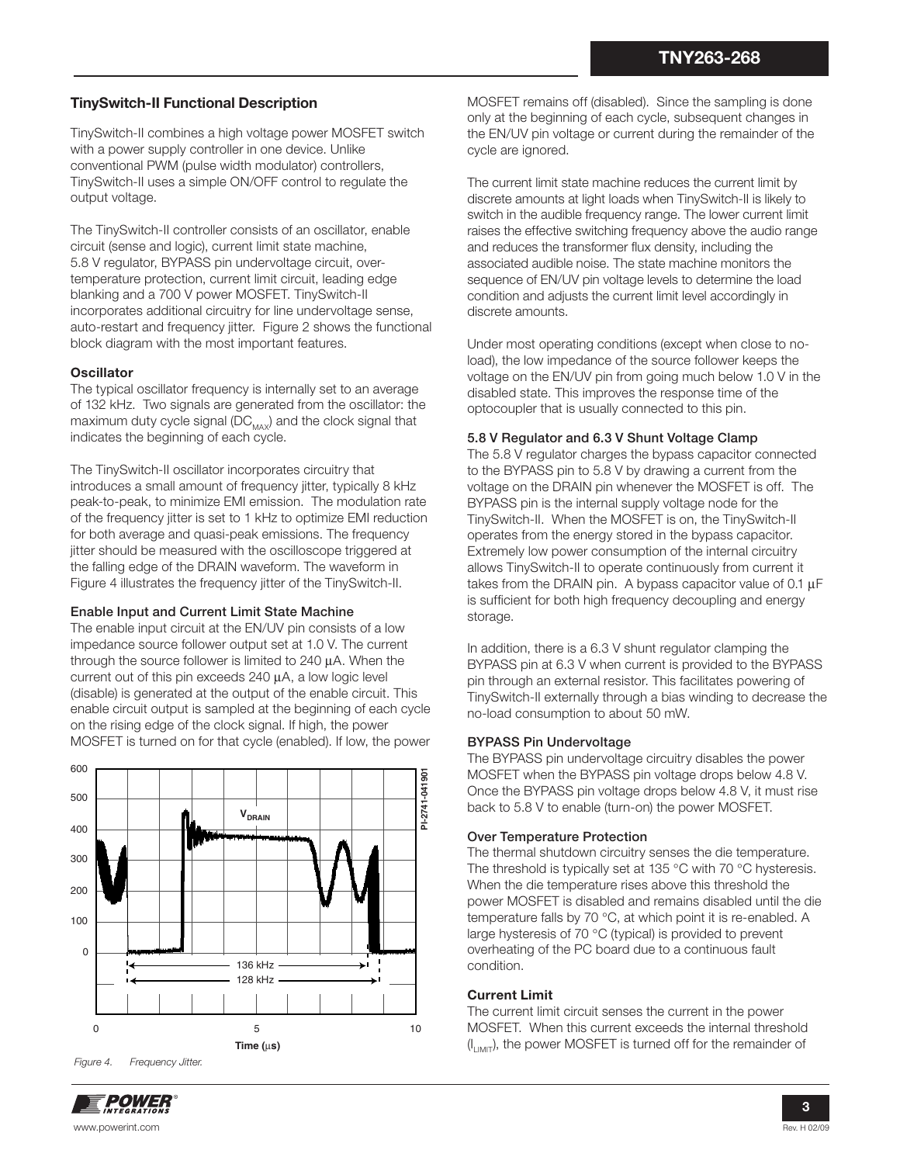### **TinySwitch-II Functional Description**

TinySwitch-II combines a high voltage power MOSFET switch with a power supply controller in one device. Unlike conventional PWM (pulse width modulator) controllers, TinySwitch-II uses a simple ON/OFF control to regulate the output voltage.

The TinySwitch-II controller consists of an oscillator, enable circuit (sense and logic), current limit state machine, 5.8 V regulator, BYPASS pin undervoltage circuit, overtemperature protection, current limit circuit, leading edge blanking and a 700 V power MOSFET. TinySwitch-II incorporates additional circuitry for line undervoltage sense, auto-restart and frequency jitter. Figure 2 shows the functional block diagram with the most important features.

#### **Oscillator**

The typical oscillator frequency is internally set to an average of 132 kHz. Two signals are generated from the oscillator: the maximum duty cycle signal  $(DC_{\text{max}})$  and the clock signal that indicates the beginning of each cycle.

The TinySwitch-II oscillator incorporates circuitry that introduces a small amount of frequency jitter, typically 8 kHz peak-to-peak, to minimize EMI emission. The modulation rate of the frequency jitter is set to 1 kHz to optimize EMI reduction for both average and quasi-peak emissions. The frequency jitter should be measured with the oscilloscope triggered at the falling edge of the DRAIN waveform. The waveform in Figure 4 illustrates the frequency jitter of the TinySwitch-II.

#### **Enable Input and Current Limit State Machine**

The enable input circuit at the EN/UV pin consists of a low impedance source follower output set at 1.0 V. The current through the source follower is limited to 240 μA. When the current out of this pin exceeds 240 μA, a low logic level (disable) is generated at the output of the enable circuit. This enable circuit output is sampled at the beginning of each cycle on the rising edge of the clock signal. If high, the power MOSFET is turned on for that cycle (enabled). If low, the power



MOSFET remains off (disabled). Since the sampling is done only at the beginning of each cycle, subsequent changes in the EN/UV pin voltage or current during the remainder of the cycle are ignored.

The current limit state machine reduces the current limit by discrete amounts at light loads when TinySwitch-II is likely to switch in the audible frequency range. The lower current limit raises the effective switching frequency above the audio range and reduces the transformer flux density, including the associated audible noise. The state machine monitors the sequence of EN/UV pin voltage levels to determine the load condition and adjusts the current limit level accordingly in discrete amounts.

Under most operating conditions (except when close to noload), the low impedance of the source follower keeps the voltage on the EN/UV pin from going much below 1.0 V in the disabled state. This improves the response time of the optocoupler that is usually connected to this pin.

#### **5.8 V Regulator and 6.3 V Shunt Voltage Clamp**

The 5.8 V regulator charges the bypass capacitor connected to the BYPASS pin to 5.8 V by drawing a current from the voltage on the DRAIN pin whenever the MOSFET is off. The BYPASS pin is the internal supply voltage node for the TinySwitch-II. When the MOSFET is on, the TinySwitch-II operates from the energy stored in the bypass capacitor. Extremely low power consumption of the internal circuitry allows TinySwitch-II to operate continuously from current it takes from the DRAIN pin. A bypass capacitor value of 0.1 μF is sufficient for both high frequency decoupling and energy storage.

In addition, there is a 6.3 V shunt regulator clamping the BYPASS pin at 6.3 V when current is provided to the BYPASS pin through an external resistor. This facilitates powering of TinySwitch-II externally through a bias winding to decrease the no-load consumption to about 50 mW.

#### **BYPASS Pin Undervoltage**

The BYPASS pin undervoltage circuitry disables the power MOSFET when the BYPASS pin voltage drops below 4.8 V. Once the BYPASS pin voltage drops below 4.8 V, it must rise back to 5.8 V to enable (turn-on) the power MOSFET.

#### **Over Temperature Protection**

The thermal shutdown circuitry senses the die temperature. The threshold is typically set at 135 °C with 70 °C hysteresis. When the die temperature rises above this threshold the power MOSFET is disabled and remains disabled until the die temperature falls by 70 °C, at which point it is re-enabled. A large hysteresis of 70 °C (typical) is provided to prevent overheating of the PC board due to a continuous fault condition.

#### **Current Limit**

The current limit circuit senses the current in the power MOSFET. When this current exceeds the internal threshold  $(I_{LIMIT})$ , the power MOSFET is turned off for the remainder of

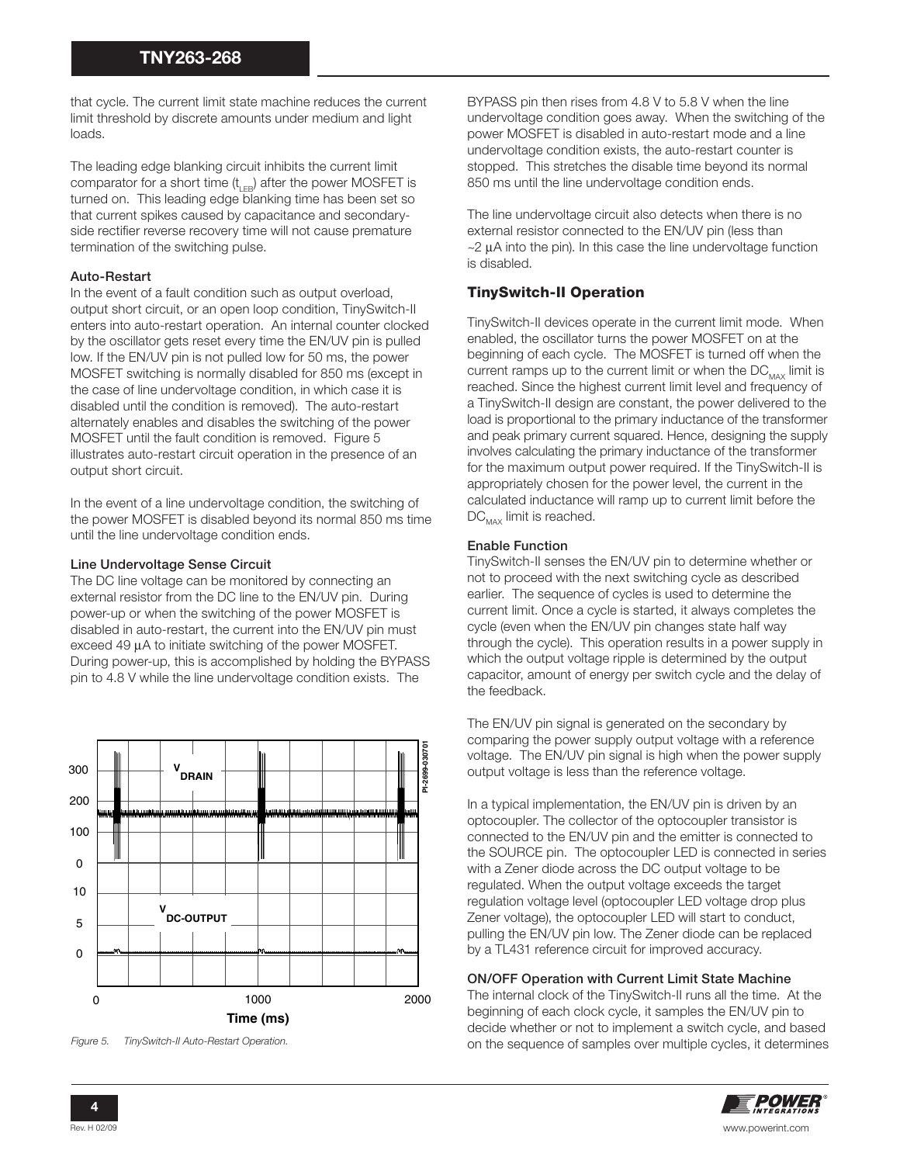that cycle. The current limit state machine reduces the current limit threshold by discrete amounts under medium and light loads.

The leading edge blanking circuit inhibits the current limit comparator for a short time  $(t_{\text{LE}})$  after the power MOSFET is turned on. This leading edge blanking time has been set so that current spikes caused by capacitance and secondaryside rectifier reverse recovery time will not cause premature termination of the switching pulse.

#### **Auto-Restart**

In the event of a fault condition such as output overload, output short circuit, or an open loop condition, TinySwitch-II enters into auto-restart operation. An internal counter clocked by the oscillator gets reset every time the EN/UV pin is pulled low. If the EN/UV pin is not pulled low for 50 ms, the power MOSFET switching is normally disabled for 850 ms (except in the case of line undervoltage condition, in which case it is disabled until the condition is removed). The auto-restart alternately enables and disables the switching of the power MOSFET until the fault condition is removed. Figure 5 illustrates auto-restart circuit operation in the presence of an output short circuit.

In the event of a line undervoltage condition, the switching of the power MOSFET is disabled beyond its normal 850 ms time until the line undervoltage condition ends.

#### **Line Undervoltage Sense Circuit**

The DC line voltage can be monitored by connecting an external resistor from the DC line to the EN/UV pin. During power-up or when the switching of the power MOSFET is disabled in auto-restart, the current into the EN/UV pin must exceed 49 μA to initiate switching of the power MOSFET. During power-up, this is accomplished by holding the BYPASS pin to 4.8 V while the line undervoltage condition exists. The



Figure 5. TinySwitch-II Auto-Restart Operation.

BYPASS pin then rises from 4.8 V to 5.8 V when the line undervoltage condition goes away. When the switching of the power MOSFET is disabled in auto-restart mode and a line undervoltage condition exists, the auto-restart counter is stopped. This stretches the disable time beyond its normal 850 ms until the line undervoltage condition ends.

The line undervoltage circuit also detects when there is no external resistor connected to the EN/UV pin (less than  $\sim$ 2  $\mu$ A into the pin). In this case the line undervoltage function is disabled.

# **TinySwitch-II Operation**

TinySwitch-II devices operate in the current limit mode. When enabled, the oscillator turns the power MOSFET on at the beginning of each cycle. The MOSFET is turned off when the current ramps up to the current limit or when the  $DC_{MAX}$  limit is reached. Since the highest current limit level and frequency of a TinySwitch-II design are constant, the power delivered to the load is proportional to the primary inductance of the transformer and peak primary current squared. Hence, designing the supply involves calculating the primary inductance of the transformer for the maximum output power required. If the TinySwitch-II is appropriately chosen for the power level, the current in the calculated inductance will ramp up to current limit before the  $DC_{MAX}$  limit is reached.

#### **Enable Function**

TinySwitch-II senses the EN/UV pin to determine whether or not to proceed with the next switching cycle as described earlier. The sequence of cycles is used to determine the current limit. Once a cycle is started, it always completes the cycle (even when the EN/UV pin changes state half way through the cycle). This operation results in a power supply in which the output voltage ripple is determined by the output capacitor, amount of energy per switch cycle and the delay of the feedback.

The EN/UV pin signal is generated on the secondary by comparing the power supply output voltage with a reference voltage. The EN/UV pin signal is high when the power supply output voltage is less than the reference voltage.

In a typical implementation, the EN/UV pin is driven by an optocoupler. The collector of the optocoupler transistor is connected to the EN/UV pin and the emitter is connected to the SOURCE pin. The optocoupler LED is connected in series with a Zener diode across the DC output voltage to be regulated. When the output voltage exceeds the target regulation voltage level (optocoupler LED voltage drop plus Zener voltage), the optocoupler LED will start to conduct, pulling the EN/UV pin low. The Zener diode can be replaced by a TL431 reference circuit for improved accuracy.

#### **ON/OFF Operation with Current Limit State Machine**

The internal clock of the TinySwitch-II runs all the time. At the beginning of each clock cycle, it samples the EN/UV pin to decide whether or not to implement a switch cycle, and based on the sequence of samples over multiple cycles, it determines

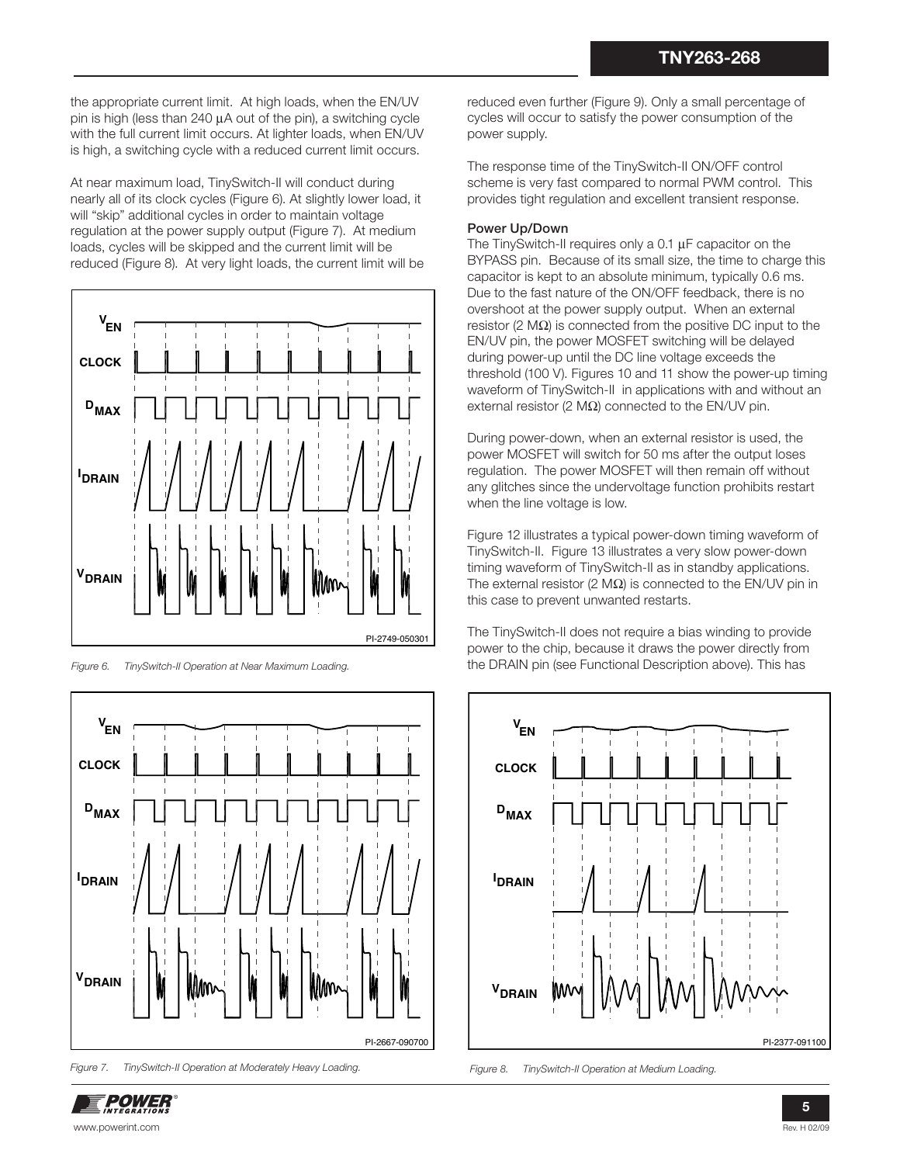the appropriate current limit. At high loads, when the EN/UV pin is high (less than 240 μA out of the pin), a switching cycle with the full current limit occurs. At lighter loads, when EN/UV is high, a switching cycle with a reduced current limit occurs.

At near maximum load, TinySwitch-II will conduct during nearly all of its clock cycles (Figure 6). At slightly lower load, it will "skip" additional cycles in order to maintain voltage regulation at the power supply output (Figure 7). At medium loads, cycles will be skipped and the current limit will be reduced (Figure 8). At very light loads, the current limit will be



Figure 6. TinySwitch-II Operation at Near Maximum Loading.



Figure 7. TinySwitch-II Operation at Moderately Heavy Loading.

reduced even further (Figure 9). Only a small percentage of cycles will occur to satisfy the power consumption of the power supply.

The response time of the TinySwitch-II ON/OFF control scheme is very fast compared to normal PWM control. This provides tight regulation and excellent transient response.

#### **Power Up/Down**

The TinySwitch-II requires only a 0.1 μF capacitor on the BYPASS pin. Because of its small size, the time to charge this capacitor is kept to an absolute minimum, typically 0.6 ms. Due to the fast nature of the ON/OFF feedback, there is no overshoot at the power supply output. When an external resistor (2 MΩ) is connected from the positive DC input to the EN/UV pin, the power MOSFET switching will be delayed during power-up until the DC line voltage exceeds the threshold (100 V). Figures 10 and 11 show the power-up timing waveform of TinySwitch-II in applications with and without an external resistor (2 M $Ω$ ) connected to the EN/UV pin.

During power-down, when an external resistor is used, the power MOSFET will switch for 50 ms after the output loses regulation. The power MOSFET will then remain off without any glitches since the undervoltage function prohibits restart when the line voltage is low.

Figure 12 illustrates a typical power-down timing waveform of TinySwitch-II. Figure 13 illustrates a very slow power-down timing waveform of TinySwitch-II as in standby applications. The external resistor (2 M $\Omega$ ) is connected to the EN/UV pin in this case to prevent unwanted restarts.

The TinySwitch-II does not require a bias winding to provide power to the chip, because it draws the power directly from the DRAIN pin (see Functional Description above). This has



Figure 8. TinySwitch-II Operation at Medium Loading.

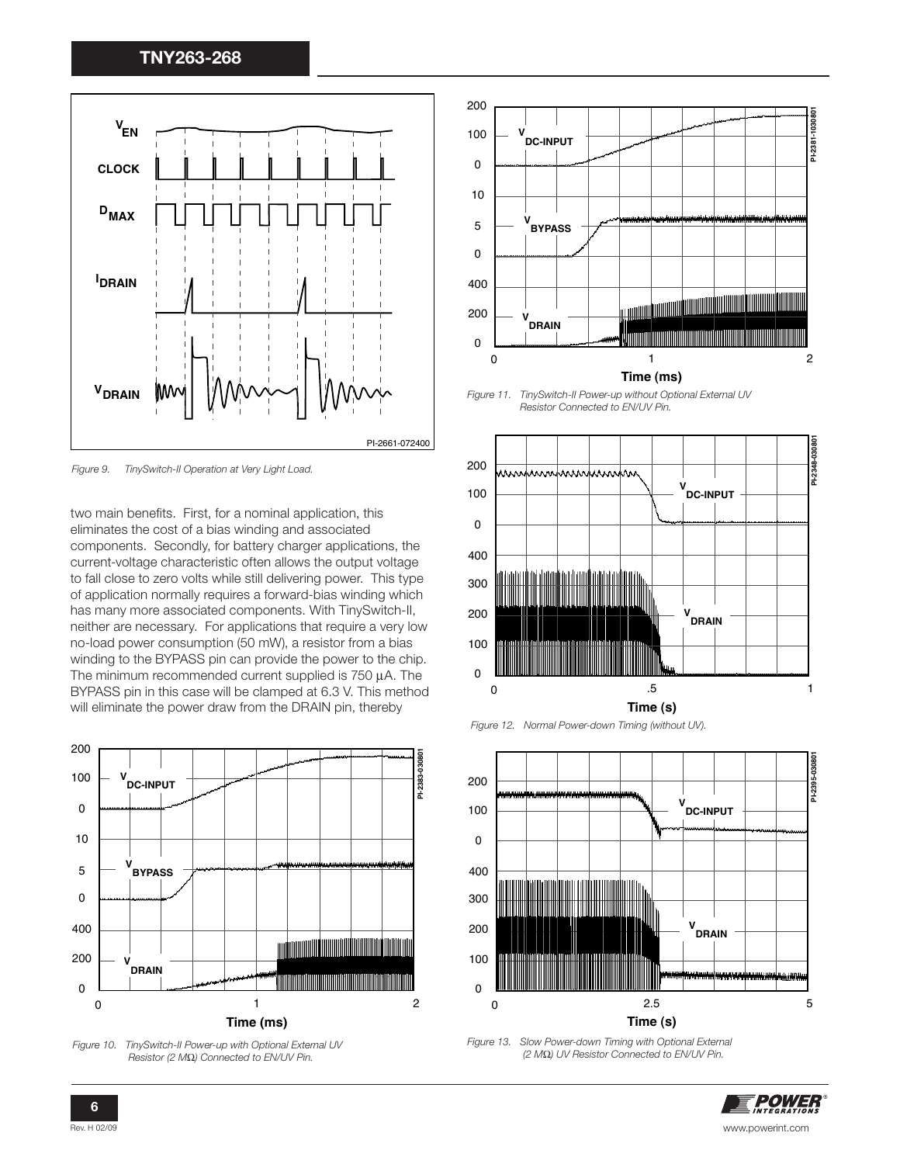

Figure 9. TinySwitch-II Operation at Very Light Load.

two main benefits. First, for a nominal application, this eliminates the cost of a bias winding and associated components. Secondly, for battery charger applications, the current-voltage characteristic often allows the output voltage to fall close to zero volts while still delivering power. This type of application normally requires a forward-bias winding which has many more associated components. With TinySwitch-II, neither are necessary. For applications that require a very low no-load power consumption (50 mW), a resistor from a bias winding to the BYPASS pin can provide the power to the chip. The minimum recommended current supplied is 750 μA. The BYPASS pin in this case will be clamped at 6.3 V. This method will eliminate the power draw from the DRAIN pin, thereby



Resistor (2 MΩ) Connected to EN/UV Pin.



Figure 11. TinySwitch-II Power-up without Optional External UV Resistor Connected to EN/UV Pin.







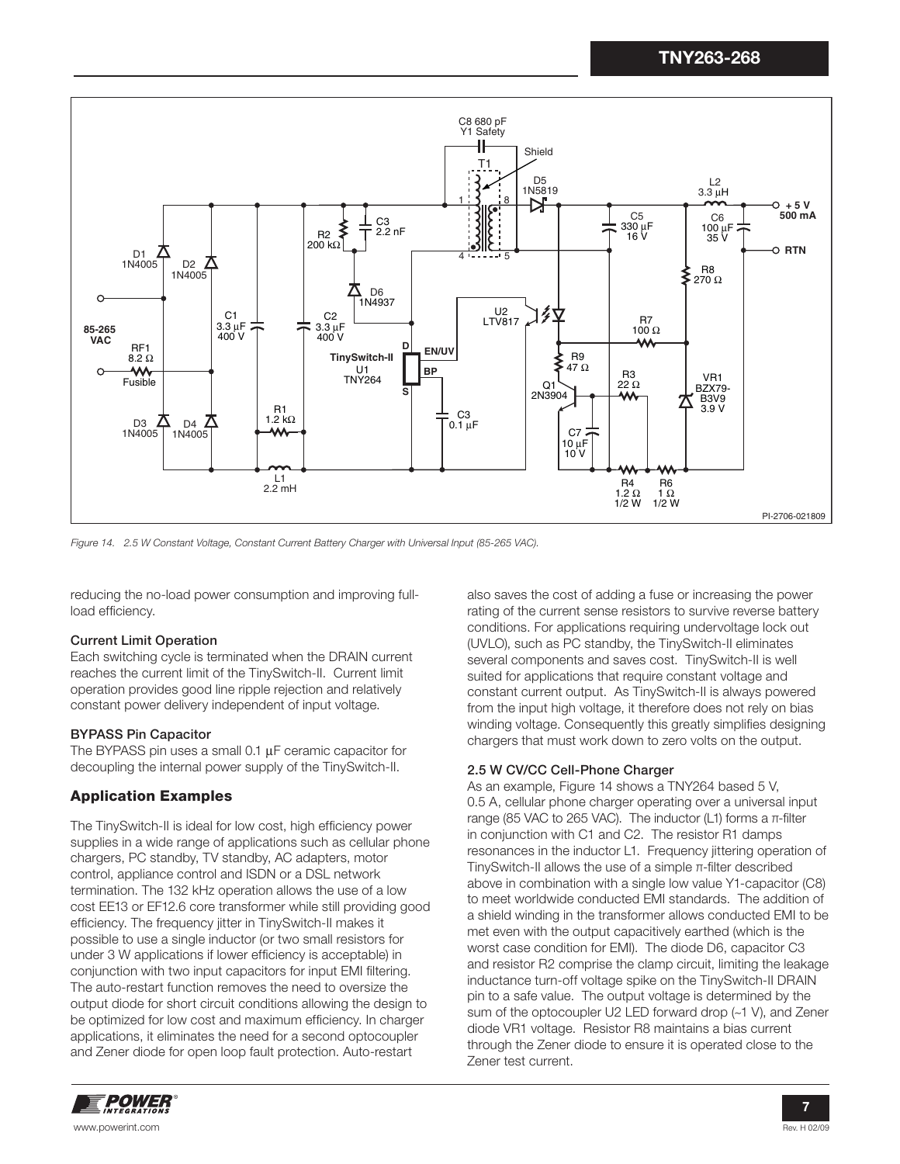

Figure 14. 2.5 W Constant Voltage, Constant Current Battery Charger with Universal Input (85-265 VAC).

reducing the no-load power consumption and improving fullload efficiency.

#### **Current Limit Operation**

Each switching cycle is terminated when the DRAIN current reaches the current limit of the TinySwitch-II. Current limit operation provides good line ripple rejection and relatively constant power delivery independent of input voltage.

#### **BYPASS Pin Capacitor**

The BYPASS pin uses a small 0.1 μF ceramic capacitor for decoupling the internal power supply of the TinySwitch-II.

#### **Application Examples**

The TinySwitch-II is ideal for low cost, high efficiency power supplies in a wide range of applications such as cellular phone chargers, PC standby, TV standby, AC adapters, motor control, appliance control and ISDN or a DSL network termination. The 132 kHz operation allows the use of a low cost EE13 or EF12.6 core transformer while still providing good efficiency. The frequency jitter in TinySwitch-II makes it possible to use a single inductor (or two small resistors for under 3 W applications if lower efficiency is acceptable) in conjunction with two input capacitors for input EMI filtering. The auto-restart function removes the need to oversize the output diode for short circuit conditions allowing the design to be optimized for low cost and maximum efficiency. In charger applications, it eliminates the need for a second optocoupler and Zener diode for open loop fault protection. Auto-restart

also saves the cost of adding a fuse or increasing the power rating of the current sense resistors to survive reverse battery conditions. For applications requiring undervoltage lock out (UVLO), such as PC standby, the TinySwitch-II eliminates several components and saves cost. TinySwitch-II is well suited for applications that require constant voltage and constant current output. As TinySwitch-II is always powered from the input high voltage, it therefore does not rely on bias winding voltage. Consequently this greatly simplifies designing chargers that must work down to zero volts on the output.

#### **2.5 W CV/CC Cell-Phone Charger**

As an example, Figure 14 shows a TNY264 based 5 V, 0.5 A, cellular phone charger operating over a universal input range (85 VAC to 265 VAC). The inductor (L1) forms a  $π$ -filter in conjunction with C1 and C2. The resistor R1 damps resonances in the inductor L1. Frequency jittering operation of TinySwitch-II allows the use of a simple  $\pi$ -filter described above in combination with a single low value Y1-capacitor (C8) to meet worldwide conducted EMI standards. The addition of a shield winding in the transformer allows conducted EMI to be met even with the output capacitively earthed (which is the worst case condition for EMI). The diode D6, capacitor C3 and resistor R2 comprise the clamp circuit, limiting the leakage inductance turn-off voltage spike on the TinySwitch-II DRAIN pin to a safe value. The output voltage is determined by the sum of the optocoupler U2 LED forward drop (~1 V), and Zener diode VR1 voltage. Resistor R8 maintains a bias current through the Zener diode to ensure it is operated close to the Zener test current.

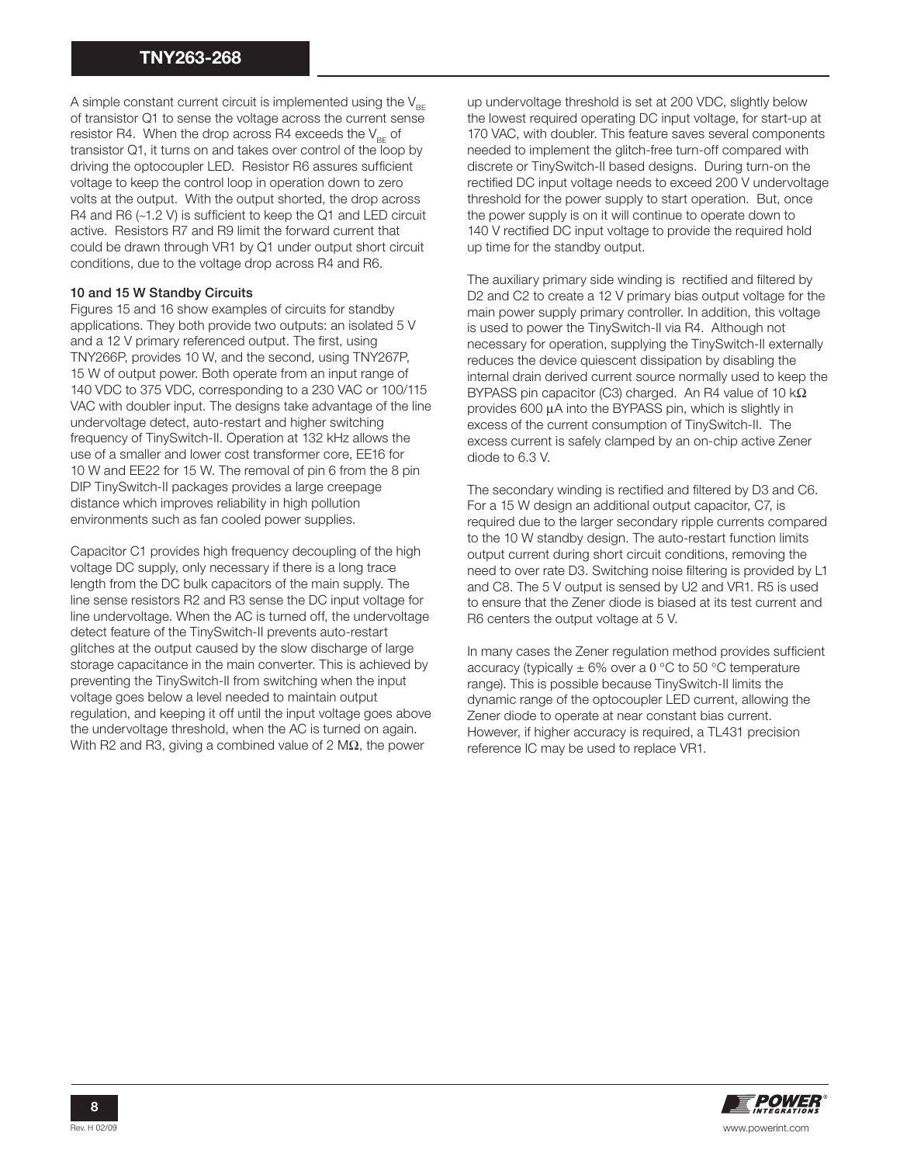A simple constant current circuit is implemented using the  $V_{BE}$ of transistor Q1 to sense the voltage across the current sense resistor R4. When the drop across R4 exceeds the  $V_{BE}$  of transistor Q1, it turns on and takes over control of the loop by driving the optocoupler LED. Resistor R6 assures sufficient voltage to keep the control loop in operation down to zero volts at the output. With the output shorted, the drop across R4 and R6  $(-1.2 V)$  is sufficient to keep the Q1 and LED circuit active. Resistors R7 and R9 limit the forward current that could be drawn through VR1 by Q1 under output short circuit conditions, due to the voltage drop across R4 and R6.

#### **10 and 15 W Standby Circuits**

Figures 15 and 16 show examples of circuits for standby applications. They both provide two outputs: an isolated 5 V and a 12 V primary referenced output. The first, using TNY266P, provides 10 W, and the second, using TNY267P, 15 W of output power. Both operate from an input range of 140 VDC to 375 VDC, corresponding to a 230 VAC or 100/115 VAC with doubler input. The designs take advantage of the line undervoltage detect, auto-restart and higher switching frequency of TinySwitch-II. Operation at 132 kHz allows the use of a smaller and lower cost transformer core, EE16 for 10 W and EE22 for 15 W. The removal of pin 6 from the 8 pin DIP TinySwitch-II packages provides a large creepage distance which improves reliability in high pollution environments such as fan cooled power supplies.

Capacitor C1 provides high frequency decoupling of the high voltage DC supply, only necessary if there is a long trace length from the DC bulk capacitors of the main supply. The line sense resistors R2 and R3 sense the DC input voltage for line undervoltage. When the AC is turned off, the undervoltage detect feature of the TinySwitch-II prevents auto-restart glitches at the output caused by the slow discharge of large storage capacitance in the main converter. This is achieved by preventing the TinySwitch-II from switching when the input voltage goes below a level needed to maintain output regulation, and keeping it off until the input voltage goes above the undervoltage threshold, when the AC is turned on again. With R2 and R3, giving a combined value of 2 M $\Omega$ , the power

up undervoltage threshold is set at 200 VDC, slightly below the lowest required operating DC input voltage, for start-up at 170 VAC, with doubler. This feature saves several components needed to implement the glitch-free turn-off compared with discrete or TinySwitch-II based designs. During turn-on the rectified DC input voltage needs to exceed 200 V undervoltage threshold for the power supply to start operation. But, once the power supply is on it will continue to operate down to 140 V rectified DC input voltage to provide the required hold up time for the standby output.

The auxiliary primary side winding is rectified and filtered by D2 and C2 to create a 12 V primary bias output voltage for the main power supply primary controller. In addition, this voltage is used to power the TinySwitch-II via R4. Although not necessary for operation, supplying the TinySwitch-II externally reduces the device quiescent dissipation by disabling the internal drain derived current source normally used to keep the BYPASS pin capacitor (C3) charged. An R4 value of 10 kΩ provides 600 μA into the BYPASS pin, which is slightly in excess of the current consumption of TinySwitch-II. The excess current is safely clamped by an on-chip active Zener diode to 6.3 V.

The secondary winding is rectified and filtered by D3 and C6. For a 15 W design an additional output capacitor, C7, is required due to the larger secondary ripple currents compared to the 10 W standby design. The auto-restart function limits output current during short circuit conditions, removing the need to over rate D3. Switching noise filtering is provided by L1 and C8. The 5 V output is sensed by U2 and VR1. R5 is used to ensure that the Zener diode is biased at its test current and R6 centers the output voltage at 5 V.

In many cases the Zener regulation method provides sufficient accuracy (typically  $\pm 6\%$  over a 0 °C to 50 °C temperature range). This is possible because TinySwitch-II limits the dynamic range of the optocoupler LED current, allowing the Zener diode to operate at near constant bias current. However, if higher accuracy is required, a TL431 precision reference IC may be used to replace VR1.

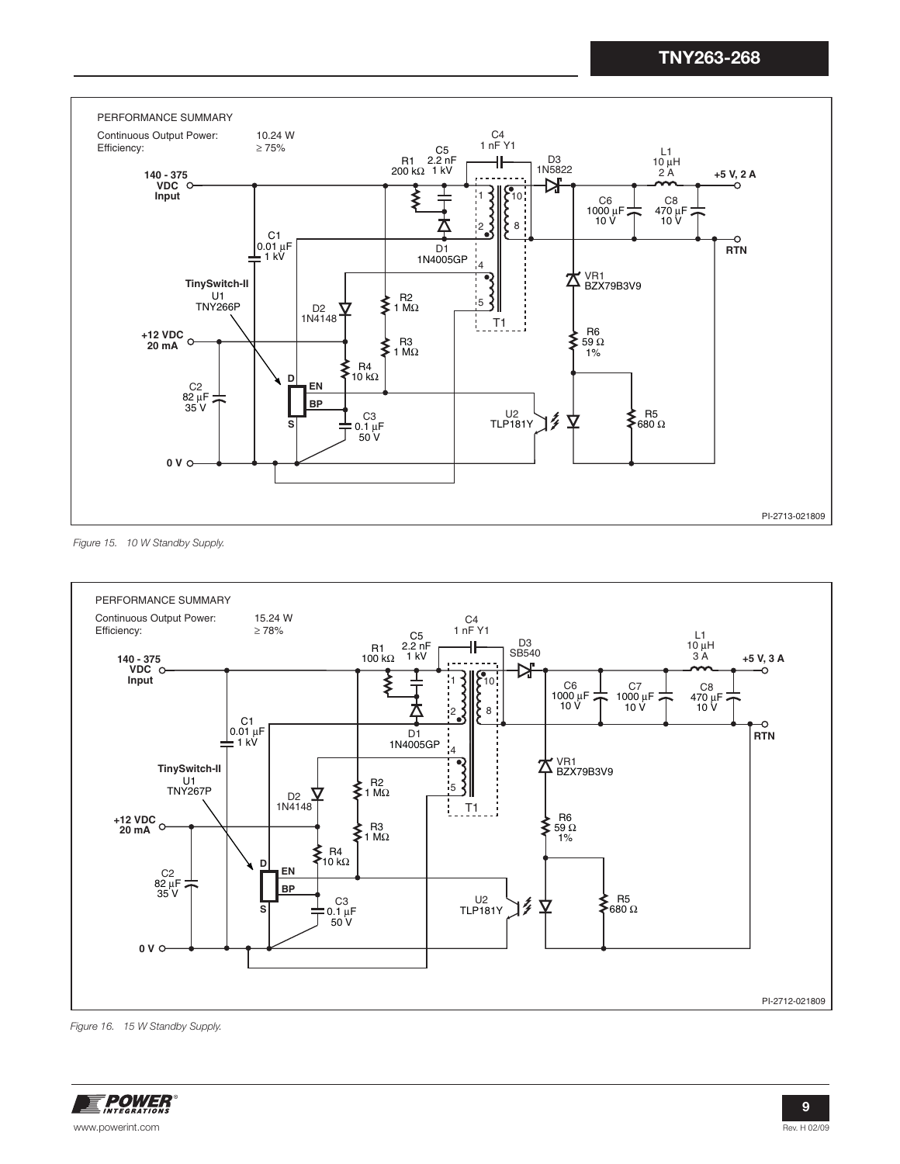

Figure 15. 10 W Standby Supply.



Figure 16. 15 W Standby Supply.

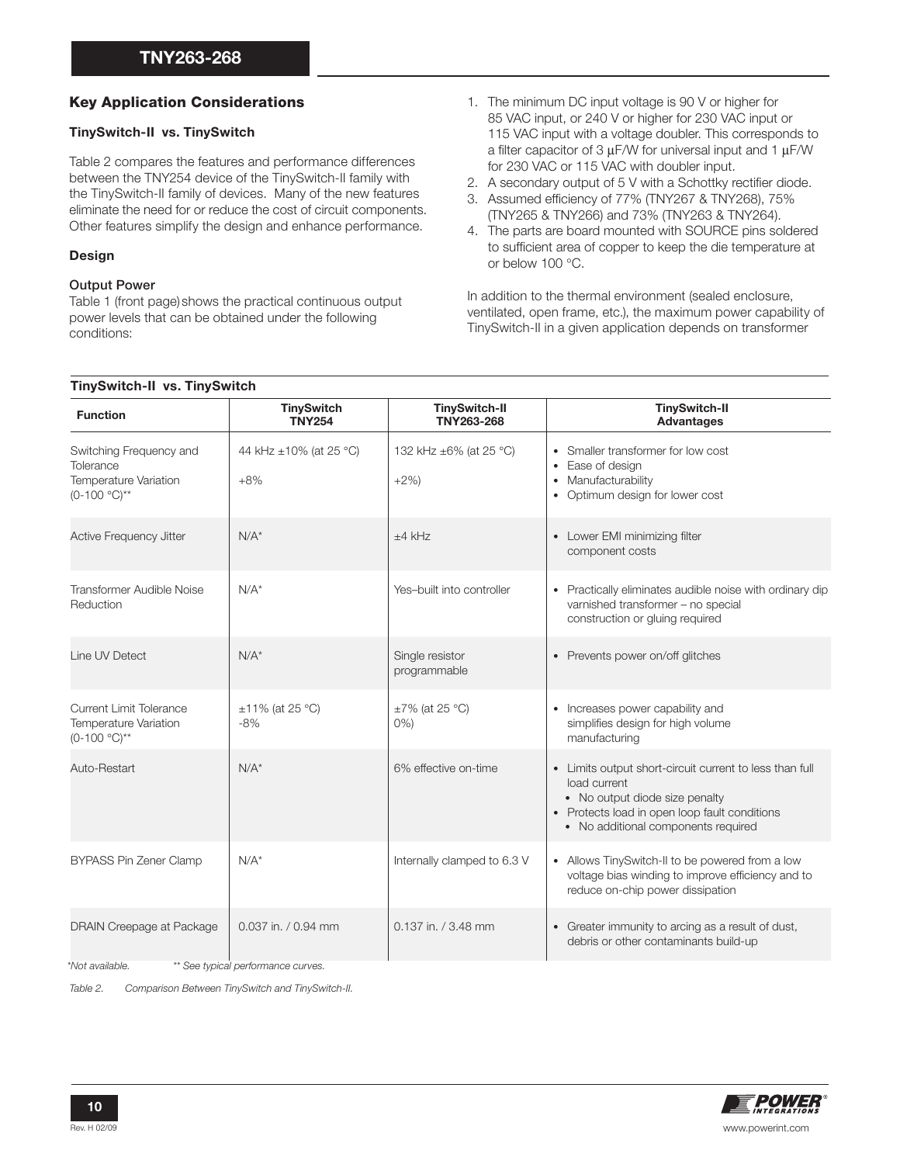#### **Key Application Considerations**

#### **TinySwitch-II vs. TinySwitch**

Table 2 compares the features and performance differences between the TNY254 device of the TinySwitch-II family with the TinySwitch-II family of devices. Many of the new features eliminate the need for or reduce the cost of circuit components. Other features simplify the design and enhance performance.

#### **Design**

#### **Output Power**

Table 1 (front page) shows the practical continuous output power levels that can be obtained under the following conditions:

- 1. The minimum DC input voltage is 90 V or higher for 85 VAC input, or 240 V or higher for 230 VAC input or 115 VAC input with a voltage doubler. This corresponds to a filter capacitor of 3  $\mu$ F/W for universal input and 1  $\mu$ F/W for 230 VAC or 115 VAC with doubler input.
- 2. A secondary output of 5 V with a Schottky rectifier diode.
- 3. Assumed efficiency of 77% (TNY267 & TNY268), 75% (TNY265 & TNY266) and 73% (TNY263 & TNY264).
- 4. The parts are board mounted with SOURCE pins soldered to sufficient area of copper to keep the die temperature at or below 100 °C.

In addition to the thermal environment (sealed enclosure, ventilated, open frame, etc.), the maximum power capability of TinySwitch-II in a given application depends on transformer

#### **TinySwitch-II vs. TinySwitch**

| <b>Function</b>                                                                | <b>TinySwitch</b><br><b>TNY254</b> | <b>TinySwitch-II</b><br>TNY263-268 | <b>TinySwitch-II</b><br><b>Advantages</b>                                                                                                                                                         |
|--------------------------------------------------------------------------------|------------------------------------|------------------------------------|---------------------------------------------------------------------------------------------------------------------------------------------------------------------------------------------------|
| Switching Frequency and<br>Tolerance<br>Temperature Variation<br>$(0-100 °C)*$ | 44 kHz ±10% (at 25 °C)<br>$+8%$    | 132 kHz ±6% (at 25 °C)<br>$+2\%)$  | Smaller transformer for low cost<br>Ease of design<br>Manufacturability<br>Optimum design for lower cost                                                                                          |
| Active Frequency Jitter                                                        | $N/A^*$                            | $+4$ kHz                           | • Lower EMI minimizing filter<br>component costs                                                                                                                                                  |
| Transformer Audible Noise<br>Reduction                                         | $N/A^*$                            | Yes-built into controller          | Practically eliminates audible noise with ordinary dip<br>varnished transformer - no special<br>construction or gluing required                                                                   |
| Line UV Detect                                                                 | $N/A^*$                            | Single resistor<br>programmable    | • Prevents power on/off glitches                                                                                                                                                                  |
| <b>Current Limit Tolerance</b><br>Temperature Variation<br>$(0-100 °C)*$       | $±11\%$ (at 25 °C)<br>$-8%$        | $\pm 7\%$ (at 25 °C)<br>$0\%$ )    | Increases power capability and<br>simplifies design for high volume<br>manufacturing                                                                                                              |
| Auto-Restart                                                                   | $N/A^*$                            | 6% effective on-time               | • Limits output short-circuit current to less than full<br>load current<br>• No output diode size penalty<br>• Protects load in open loop fault conditions<br>• No additional components required |
| <b>BYPASS Pin Zener Clamp</b>                                                  | $N/A^*$                            | Internally clamped to 6.3 V        | • Allows TinySwitch-II to be powered from a low<br>voltage bias winding to improve efficiency and to<br>reduce on-chip power dissipation                                                          |
| DRAIN Creepage at Package                                                      | 0.037 in. / 0.94 mm                | 0.137 in. / 3.48 mm                | Greater immunity to arcing as a result of dust,<br>$\bullet$<br>debris or other contaminants build-up                                                                                             |
| *Not available.                                                                | ** See typical performance curves. |                                    |                                                                                                                                                                                                   |

Table 2. Comparison Between TinySwitch and TinySwitch-II.

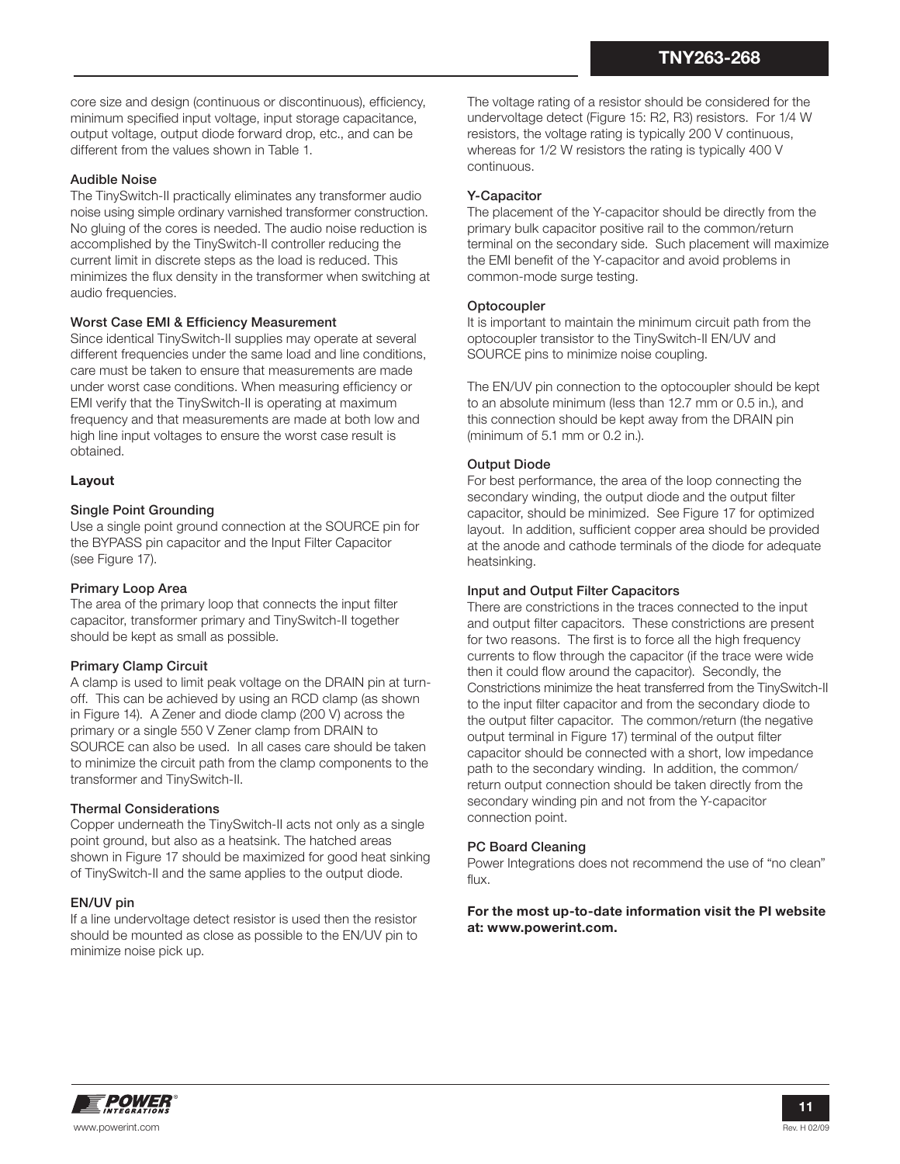core size and design (continuous or discontinuous), efficiency, minimum specified input voltage, input storage capacitance, output voltage, output diode forward drop, etc., and can be different from the values shown in Table 1.

#### **Audible Noise**

The TinySwitch-II practically eliminates any transformer audio noise using simple ordinary varnished transformer construction. No gluing of the cores is needed. The audio noise reduction is accomplished by the TinySwitch-II controller reducing the current limit in discrete steps as the load is reduced. This minimizes the flux density in the transformer when switching at audio frequencies.

#### **Worst Case EMI & Efficiency Measurement**

Since identical TinySwitch-II supplies may operate at several different frequencies under the same load and line conditions, care must be taken to ensure that measurements are made under worst case conditions. When measuring efficiency or EMI verify that the TinySwitch-II is operating at maximum frequency and that measurements are made at both low and high line input voltages to ensure the worst case result is obtained.

#### **Layout**

#### **Single Point Grounding**

Use a single point ground connection at the SOURCE pin for the BYPASS pin capacitor and the Input Filter Capacitor (see Figure 17).

#### **Primary Loop Area**

The area of the primary loop that connects the input filter capacitor, transformer primary and TinySwitch-II together should be kept as small as possible.

#### **Primary Clamp Circuit**

A clamp is used to limit peak voltage on the DRAIN pin at turnoff. This can be achieved by using an RCD clamp (as shown in Figure 14). A Zener and diode clamp (200 V) across the primary or a single 550 V Zener clamp from DRAIN to SOURCE can also be used. In all cases care should be taken to minimize the circuit path from the clamp components to the transformer and TinySwitch-II.

#### **Thermal Considerations**

Copper underneath the TinySwitch-II acts not only as a single point ground, but also as a heatsink. The hatched areas shown in Figure 17 should be maximized for good heat sinking of TinySwitch-II and the same applies to the output diode.

#### **EN/UV pin**

If a line undervoltage detect resistor is used then the resistor should be mounted as close as possible to the EN/UV pin to minimize noise pick up.

The voltage rating of a resistor should be considered for the undervoltage detect (Figure 15: R2, R3) resistors. For 1/4 W resistors, the voltage rating is typically 200 V continuous, whereas for 1/2 W resistors the rating is typically 400 V continuous.

#### **Y-Capacitor**

The placement of the Y-capacitor should be directly from the primary bulk capacitor positive rail to the common/return terminal on the secondary side. Such placement will maximize the EMI benefit of the Y-capacitor and avoid problems in common-mode surge testing.

#### **Optocoupler**

It is important to maintain the minimum circuit path from the optocoupler transistor to the TinySwitch-II EN/UV and SOURCE pins to minimize noise coupling.

The EN/UV pin connection to the optocoupler should be kept to an absolute minimum (less than 12.7 mm or 0.5 in.), and this connection should be kept away from the DRAIN pin (minimum of 5.1 mm or 0.2 in.).

#### **Output Diode**

For best performance, the area of the loop connecting the secondary winding, the output diode and the output filter capacitor, should be minimized. See Figure 17 for optimized layout. In addition, sufficient copper area should be provided at the anode and cathode terminals of the diode for adequate heatsinking.

#### **Input and Output Filter Capacitors**

There are constrictions in the traces connected to the input and output filter capacitors. These constrictions are present for two reasons. The first is to force all the high frequency currents to flow through the capacitor (if the trace were wide then it could flow around the capacitor). Secondly, the Constrictions minimize the heat transferred from the TinySwitch-II to the input filter capacitor and from the secondary diode to the output filter capacitor. The common/return (the negative output terminal in Figure 17) terminal of the output filter capacitor should be connected with a short, low impedance path to the secondary winding. In addition, the common/ return output connection should be taken directly from the secondary winding pin and not from the Y-capacitor connection point.

#### **PC Board Cleaning**

Power Integrations does not recommend the use of "no clean" flux.

**For the most up-to-date information visit the PI website at: www.powerint.com.**

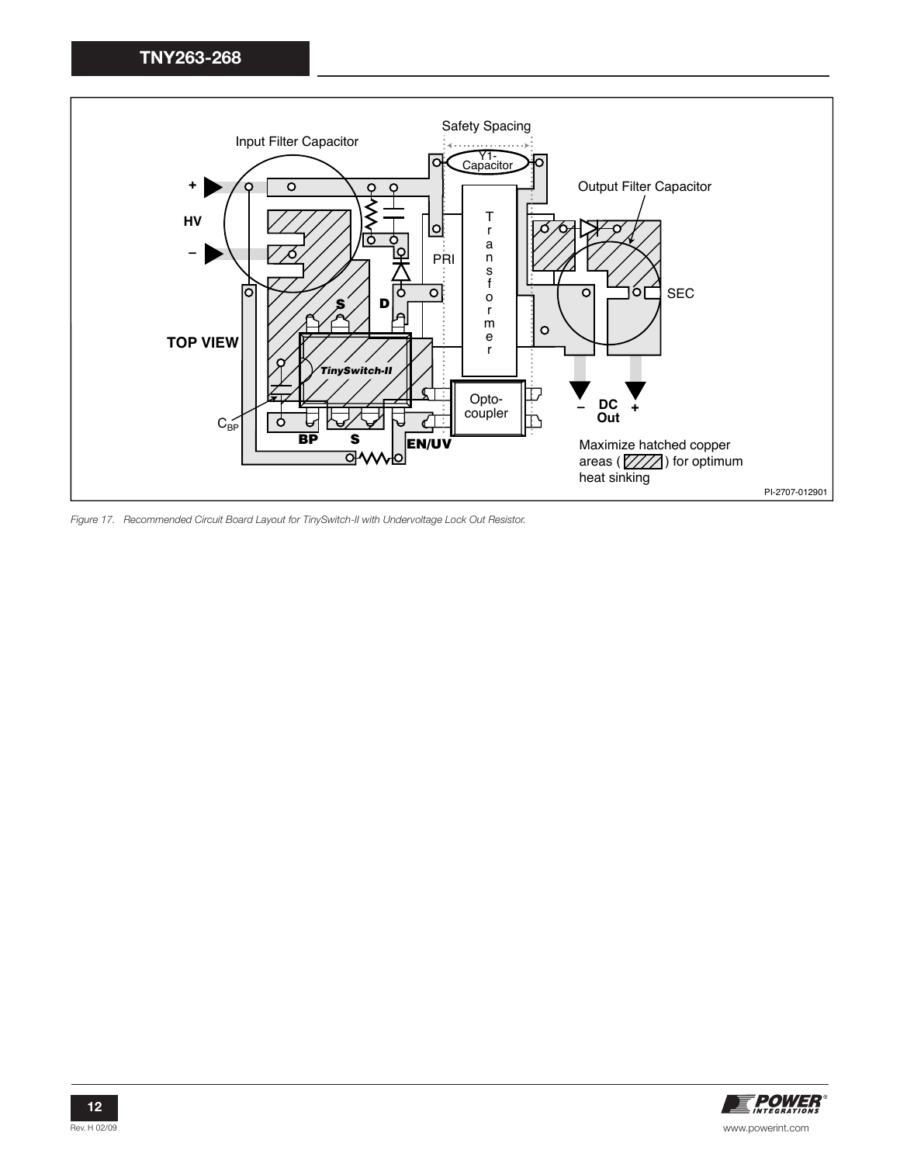

Figure 17. Recommended Circuit Board Layout for TinySwitch-II with Undervoltage Lock Out Resistor.

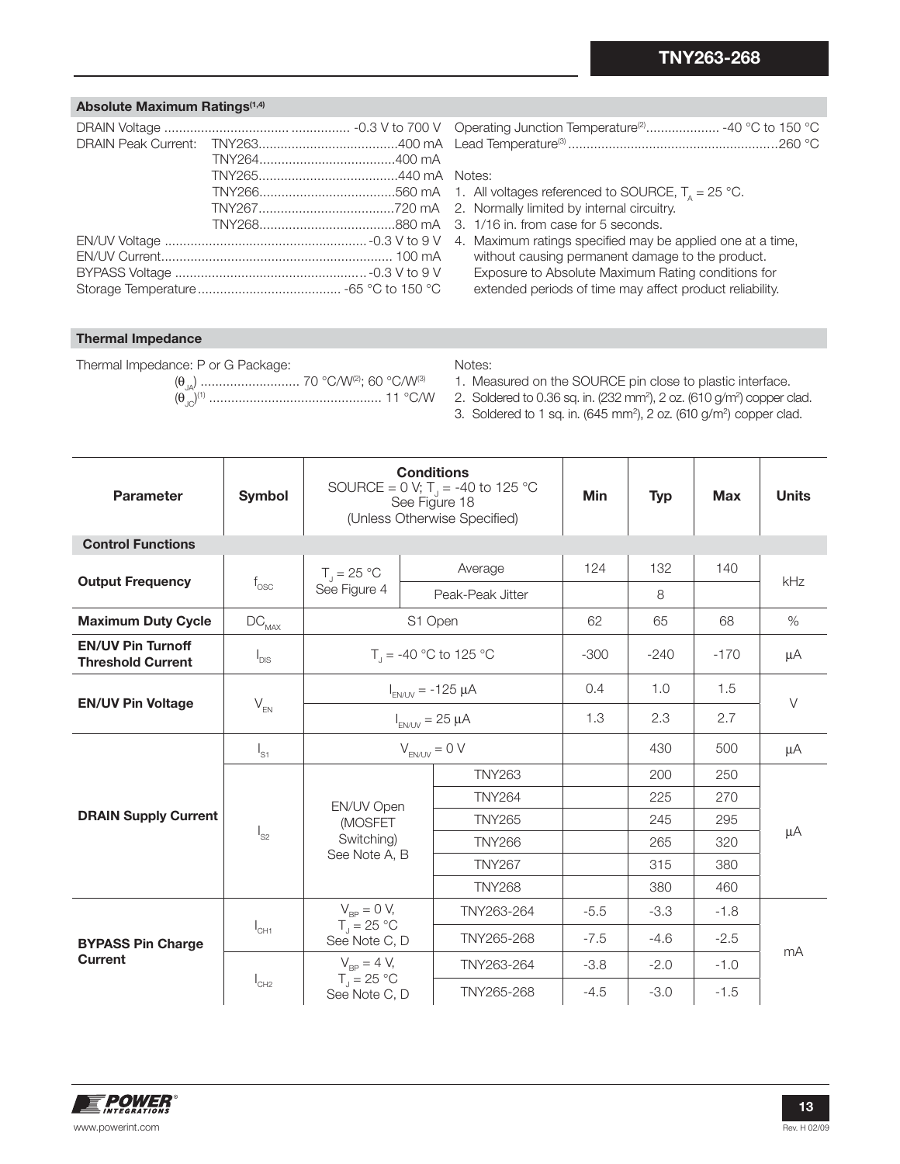#### **Absolute Maximum Ratings(1,4)**

| Operating Junction Temperature <sup>(2)</sup> -40 °C to 150 °C |  |
|----------------------------------------------------------------|--|
|                                                                |  |

#### Notes:

- 1. All voltages referenced to SOURCE,  $T_a = 25 \text{ }^{\circ}\text{C}$ .
- 2. Normally limited by internal circuitry.
- 3. 1/16 in. from case for 5 seconds.
- 4. Maximum ratings specified may be applied one at a time, without causing permanent damage to the product. Exposure to Absolute Maximum Rating conditions for extended periods of time may affect product reliability.

#### **Thermal Impedance**

Thermal Impedance: P or G Package: (θJA) ........................... 70 °C/W(2); 60 °C/W(3) (θJC) (1) ............................................... 11 °C/W

#### Notes:

1. Measured on the SOURCE pin close to plastic interface.

2. Soldered to 0.36 sq. in. (232 mm<sup>2</sup>), 2 oz. (610 g/m<sup>2</sup>) copper clad.

3. Soldered to 1 sq. in. (645 mm<sup>2</sup>), 2 oz. (610 g/m<sup>2</sup>) copper clad.

| Parameter                                            | <b>Symbol</b>            | <b>Conditions</b><br>SOURCE = $0 \text{ V}$ ; T <sub>J</sub> = -40 to 125 °C<br>See Figure 18<br>(Unless Otherwise Specified) |                                   |                  | <b>Min</b> | <b>Typ</b> | <b>Max</b> | <b>Units</b> |
|------------------------------------------------------|--------------------------|-------------------------------------------------------------------------------------------------------------------------------|-----------------------------------|------------------|------------|------------|------------|--------------|
| <b>Control Functions</b>                             |                          |                                                                                                                               |                                   |                  |            |            |            |              |
|                                                      |                          | $T_{\parallel} = 25 \text{ °C}$                                                                                               |                                   | Average          | 124        | 132        | 140        | kHz          |
| <b>Output Frequency</b>                              | $f_{\rm osc}$            | See Figure 4                                                                                                                  |                                   | Peak-Peak Jitter |            | 8          |            |              |
| <b>Maximum Duty Cycle</b>                            | $\text{DC}_{\text{MAX}}$ |                                                                                                                               | S1 Open                           |                  | 62         | 65         | 68         | $\%$         |
| <b>EN/UV Pin Turnoff</b><br><b>Threshold Current</b> | $I_{DIS}$                |                                                                                                                               | T <sub>1</sub> = -40 °C to 125 °C |                  |            | $-240$     | $-170$     | μA           |
|                                                      | $V_{EN}$                 | $I_{EN/UV}$ = -125 $\mu$ A                                                                                                    |                                   | 0.4              | 1.0        | 1.5        | $\vee$     |              |
| <b>EN/UV Pin Voltage</b>                             |                          | $I_{EN/UV} = 25 \mu A$                                                                                                        |                                   | 1.3              | 2.3        | 2.7        |            |              |
|                                                      | $I_{S1}$                 | $V_{F N \land N} = 0 V$                                                                                                       |                                   |                  |            | 430        | 500        | μA           |
|                                                      | $I_{S2}$                 | EN/UV Open<br>(MOSFET<br>Switching)<br>See Note A, B                                                                          |                                   | <b>TNY263</b>    |            | 200        | 250        | μA           |
|                                                      |                          |                                                                                                                               |                                   | <b>TNY264</b>    |            | 225        | 270        |              |
| <b>DRAIN Supply Current</b>                          |                          |                                                                                                                               |                                   | <b>TNY265</b>    |            | 245        | 295        |              |
|                                                      |                          |                                                                                                                               |                                   | <b>TNY266</b>    |            | 265        | 320        |              |
|                                                      |                          |                                                                                                                               |                                   | <b>TNY267</b>    |            | 315        | 380        |              |
|                                                      |                          |                                                                                                                               |                                   | <b>TNY268</b>    |            | 380        | 460        |              |
| <b>BYPASS Pin Charge</b><br><b>Current</b>           | $I_{CH1}$                | $V_{\rm BP} = 0 V,$                                                                                                           |                                   | TNY263-264       | $-5.5$     | $-3.3$     | $-1.8$     |              |
|                                                      |                          | $T_i = 25 \text{ °C}$<br>See Note C, D                                                                                        |                                   | TNY265-268       | $-7.5$     | $-4.6$     | $-2.5$     |              |
|                                                      | $I_{CH2}$                | $V_{\rm BP} = 4 V,$                                                                                                           |                                   | TNY263-264       | $-3.8$     | $-2.0$     | $-1.0$     | mA           |
|                                                      |                          | $T_1 = 25 °C$<br>See Note C, D                                                                                                |                                   | TNY265-268       | $-4.5$     | $-3.0$     | $-1.5$     |              |

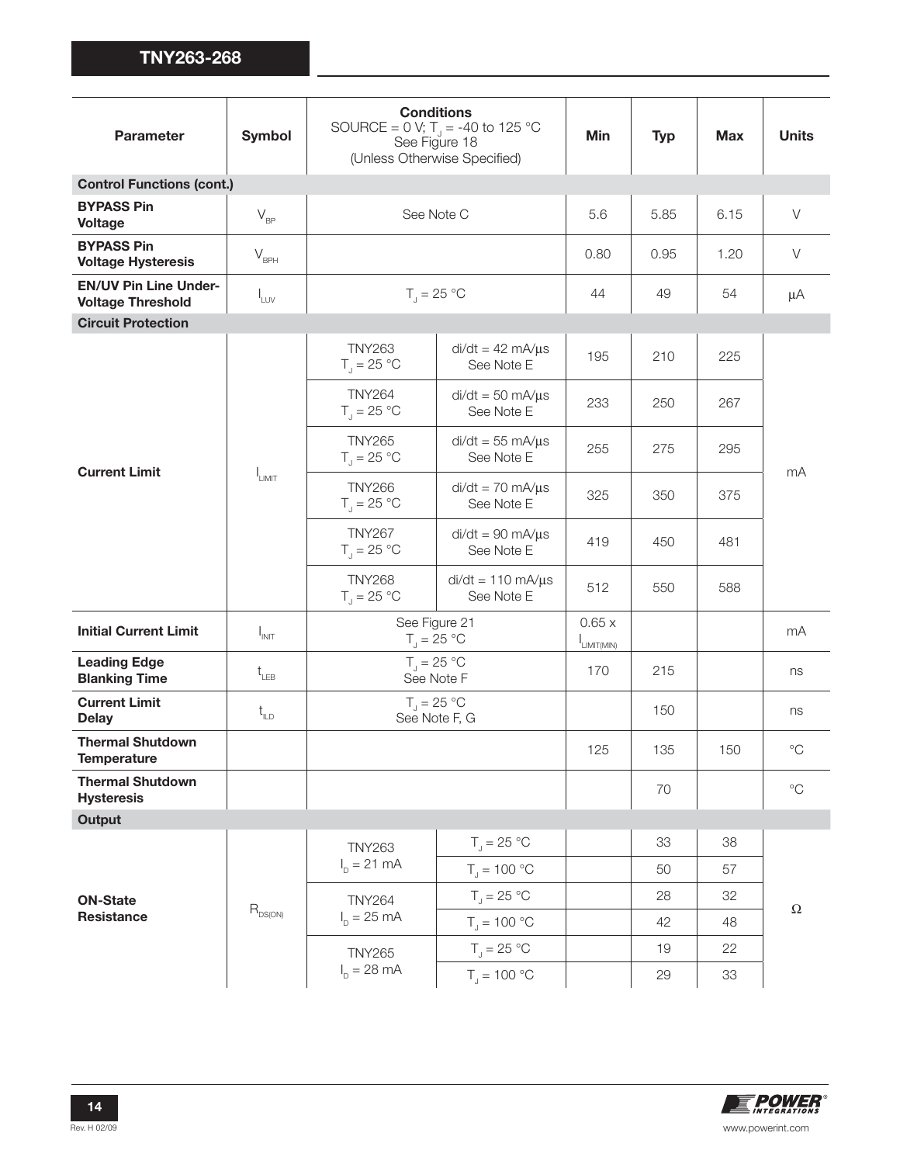| Parameter                                                | <b>Symbol</b>                       | <b>Conditions</b><br>SOURCE = 0 V; $T_J$ = -40 to 125 °C<br>See Figure 18<br>(Unless Otherwise Specified) |                                          | Min                       | <b>Typ</b> | <b>Max</b> | <b>Units</b> |
|----------------------------------------------------------|-------------------------------------|-----------------------------------------------------------------------------------------------------------|------------------------------------------|---------------------------|------------|------------|--------------|
| <b>Control Functions (cont.)</b>                         |                                     |                                                                                                           |                                          |                           |            |            |              |
| <b>BYPASS Pin</b><br><b>Voltage</b>                      | $V_{\rm BP}$                        | See Note C                                                                                                |                                          | 5.6                       | 5.85       | 6.15       | $\vee$       |
| <b>BYPASS Pin</b><br><b>Voltage Hysteresis</b>           | $V_{\rm BPH}$                       |                                                                                                           |                                          | 0.80                      | 0.95       | 1.20       | $\vee$       |
| <b>EN/UV Pin Line Under-</b><br><b>Voltage Threshold</b> | $I_{LUV}$                           | $T_1 = 25 °C$                                                                                             |                                          | 44                        | 49         | 54         | μA           |
| <b>Circuit Protection</b>                                |                                     |                                                                                                           |                                          |                           |            |            |              |
|                                                          |                                     | <b>TNY263</b><br>$T_{\rm J}$ = 25 °C                                                                      | $di/dt = 42 \text{ mA/µs}$<br>See Note E | 195                       | 210        | 225        |              |
|                                                          |                                     | <b>TNY264</b><br>$T_{J} = 25 °C$                                                                          | $di/dt = 50$ mA/ $\mu$ s<br>See Note E   | 233                       | 250        | 267        | mA           |
|                                                          |                                     | <b>TNY265</b><br>$T_{J} = 25 °C$                                                                          | $di/dt = 55$ mA/ $\mu$ s<br>See Note E   | 255                       | 275        | 295        |              |
| <b>Current Limit</b>                                     | <b>LIMIT</b>                        | <b>TNY266</b><br>$T_{\text{I}} = 25 \text{ °C}$                                                           | $di/dt = 70$ mA/ $\mu$ s<br>See Note E   | 325                       | 350        | 375        |              |
|                                                          |                                     | <b>TNY267</b><br>$T_{\rm J}$ = 25 °C                                                                      | $di/dt = 90$ mA/ $\mu s$<br>See Note E   | 419                       | 450        | 481        |              |
|                                                          |                                     | <b>TNY268</b><br>$T_{\rm J}$ = 25 °C                                                                      | $di/dt = 110$ mA/ $\mu$ s<br>See Note E  | 512                       | 550        | 588        |              |
| <b>Initial Current Limit</b>                             | $I_{INT}$                           | See Figure 21<br>$T_{\rm J}$ = 25 °C                                                                      |                                          | 0.65x<br>$I_{LIMIT(MIN)}$ |            |            | mA           |
| <b>Leading Edge</b><br><b>Blanking Time</b>              | $t_{LEB}$                           | $T_{\rm J} = 25 \,^{\circ}\mathrm{C}$<br>See Note F                                                       |                                          | 170                       | 215        |            | ns           |
| <b>Current Limit</b><br><b>Delay</b>                     | $t_{\text{\tiny{ILD}}}$             |                                                                                                           | $T_{J} = 25 °C$<br>See Note F, G         |                           | 150        |            | ns           |
| <b>Thermal Shutdown</b><br>Temperature                   |                                     |                                                                                                           |                                          | 125                       | 135        | 150        | $^{\circ}C$  |
| <b>Thermal Shutdown</b><br><b>Hysteresis</b>             |                                     |                                                                                                           |                                          |                           | 70         |            | $^{\circ}C$  |
| <b>Output</b>                                            |                                     |                                                                                                           |                                          |                           |            |            |              |
|                                                          |                                     | <b>TNY263</b>                                                                                             | $T_{\parallel} = 25 \text{ °C}$          |                           | 33         | 38         |              |
| <b>ON-State</b>                                          |                                     | $I_{p} = 21 \text{ mA}$                                                                                   | $T_{\text{J}}$ = 100 °C                  |                           | 50         | 57         |              |
|                                                          |                                     | <b>TNY264</b><br>$I_p = 25 \text{ mA}$                                                                    | $T_{\text{d}} = 25 \text{ °C}$           |                           | 28         | 32         |              |
| <b>Resistance</b>                                        | $\mathsf{R}_{\text{DS}(\text{ON})}$ |                                                                                                           | $T_{\rm j} = 100 °C$                     |                           | 42         | 48         | $\Omega$     |
|                                                          |                                     | <b>TNY265</b><br>$I_{p} = 28 \text{ mA}$                                                                  | $T_{\rm J} = 25 \text{ °C}$              |                           | 19         | 22         |              |
|                                                          |                                     |                                                                                                           | $T_{\rm j} = 100 °C$                     |                           | 29         | 33         |              |

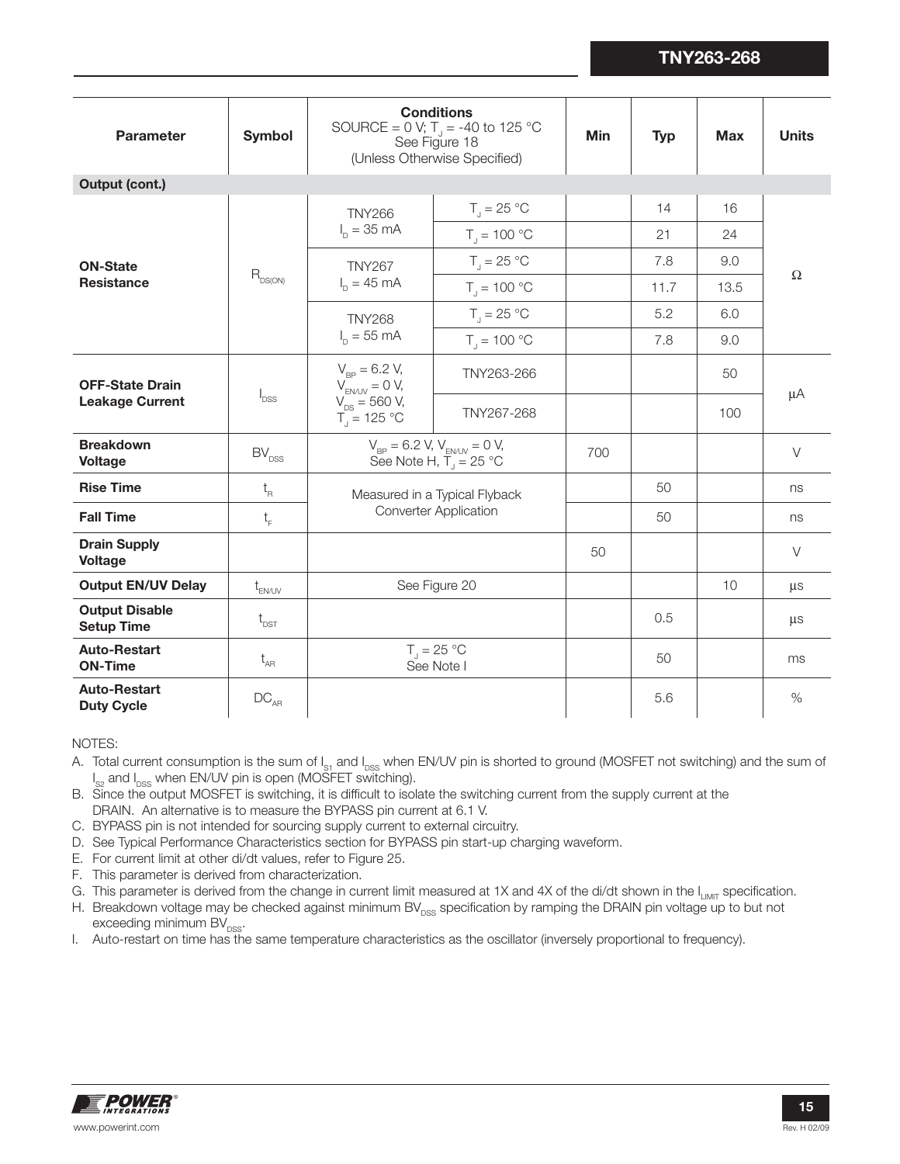| <b>Parameter</b>                                 | <b>Symbol</b>                  | <b>Conditions</b><br>SOURCE = 0 V; $T_J$ = -40 to 125 °C<br>See Figure 18<br>(Unless Otherwise Specified) | Min                             | <b>Typ</b> | <b>Max</b> | <b>Units</b> |          |
|--------------------------------------------------|--------------------------------|-----------------------------------------------------------------------------------------------------------|---------------------------------|------------|------------|--------------|----------|
| Output (cont.)                                   |                                |                                                                                                           |                                 |            |            |              |          |
|                                                  |                                | <b>TNY266</b><br>$I_{p} = 35 \text{ mA}$                                                                  | $T_{\text{J}} = 25 \text{ °C}$  |            | 14         | 16           |          |
|                                                  |                                |                                                                                                           | $T_{\rm J}$ = 100 °C            |            | 21         | 24           |          |
| <b>ON-State</b>                                  |                                | <b>TNY267</b>                                                                                             | $T_{\rm J}$ = 25 °C             |            | 7.8        | 9.0          |          |
| <b>Resistance</b>                                | $R_{DS(ON)}$                   | $I_n = 45 \text{ mA}$                                                                                     | $T_{\rm J} = 100 \, \degree C$  |            | 11.7       | 13.5         | $\Omega$ |
|                                                  |                                | <b>TNY268</b>                                                                                             | $T_{\parallel} = 25 \text{ °C}$ |            | 5.2        | 6.0          |          |
|                                                  |                                | $I_{p} = 55$ mA                                                                                           | $T_{1} = 100 °C$                |            | 7.8        | 9.0          |          |
| <b>OFF-State Drain</b><br><b>Leakage Current</b> | <b>I</b> <sub>DSS</sub>        | $V_{\text{RP}} = 6.2 V,$<br>$V_{EN/UV} = 0 V$ ,<br>$V_{DS} = 560 V,$<br>$T_1 = 125 °C$                    | TNY263-266                      |            |            | 50           | μA       |
|                                                  |                                |                                                                                                           | TNY267-268                      |            |            | 100          |          |
| <b>Breakdown</b><br><b>Voltage</b>               | $\mathsf{BV}_\mathsf{DSS}$     | $V_{BP} = 6.2$ V, $V_{EN/UV} = 0$ V,<br>See Note H, $\overline{T}_j = 25$ °C                              |                                 | 700        |            |              | $\vee$   |
| <b>Rise Time</b>                                 | $\mathfrak{t}_{_{\mathrm{R}}}$ | Measured in a Typical Flyback                                                                             |                                 |            | 50         |              | ns       |
| <b>Fall Time</b>                                 | $t_{\rm F}$                    |                                                                                                           | <b>Converter Application</b>    |            | 50         |              | ns       |
| <b>Drain Supply</b><br><b>Voltage</b>            |                                |                                                                                                           |                                 | 50         |            |              | $\vee$   |
| <b>Output EN/UV Delay</b>                        | $t_{EN/UV}$                    |                                                                                                           | See Figure 20                   |            |            | 10           | μs       |
| <b>Output Disable</b><br><b>Setup Time</b>       | $t_{\text{DST}}$               |                                                                                                           |                                 |            | 0.5        |              | μs       |
| <b>Auto-Restart</b><br><b>ON-Time</b>            | $t_{AR}$                       | $T_{\text{J}} = 25 \text{ °C}$<br>See Note I                                                              |                                 |            | 50         |              | ms       |
| <b>Auto-Restart</b><br><b>Duty Cycle</b>         | $DC_{AR}$                      |                                                                                                           |                                 |            | 5.6        |              | $\%$     |

#### NOTES:

- A. Total current consumption is the sum of I<sub>s1</sub> and I<sub>pss</sub> when EN/UV pin is shorted to ground (MOSFET not switching) and the sum of  $I_{\rm{S2}}$  and  $I_{\rm{DSS}}$  when EN/UV pin is open (MOSFET switching).
- B. Since the output MOSFET is switching, it is difficult to isolate the switching current from the supply current at the DRAIN. An alternative is to measure the BYPASS pin current at 6.1 V.
- C. BYPASS pin is not intended for sourcing supply current to external circuitry.
- D. See Typical Performance Characteristics section for BYPASS pin start-up charging waveform.
- E. For current limit at other di/dt values, refer to Figure 25.
- F. This parameter is derived from characterization.
- G. This parameter is derived from the change in current limit measured at 1X and 4X of the di/dt shown in the I<sub>LIMIT</sub> specification.
- H. Breakdown voltage may be checked against minimum BV $_{\rm DSS}$  specification by ramping the DRAIN pin voltage up to but not exceeding minimum  $BV_{DSS}$ .
- Auto-restart on time has the same temperature characteristics as the oscillator (inversely proportional to frequency). I.

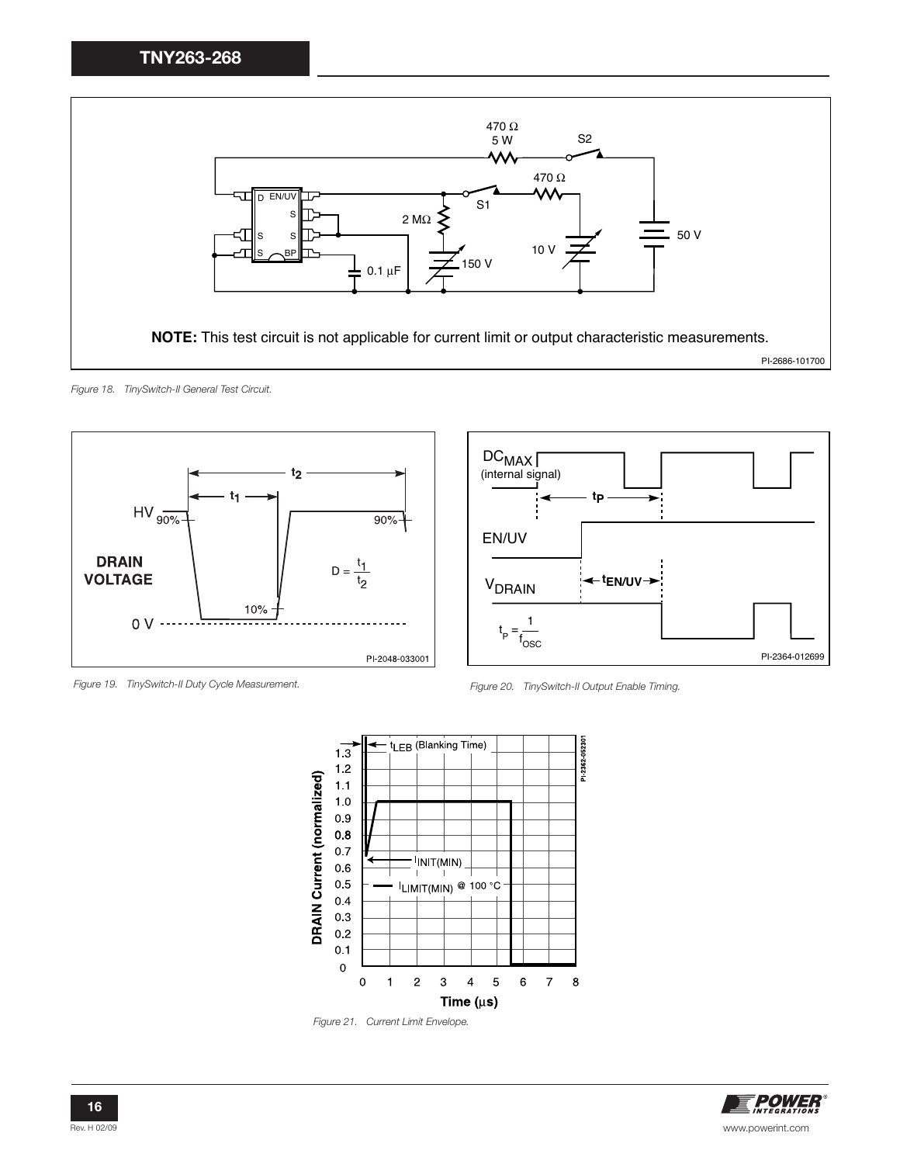

Figure 18. TinySwitch-II General Test Circuit.









Figure 21. Current Limit Envelope.

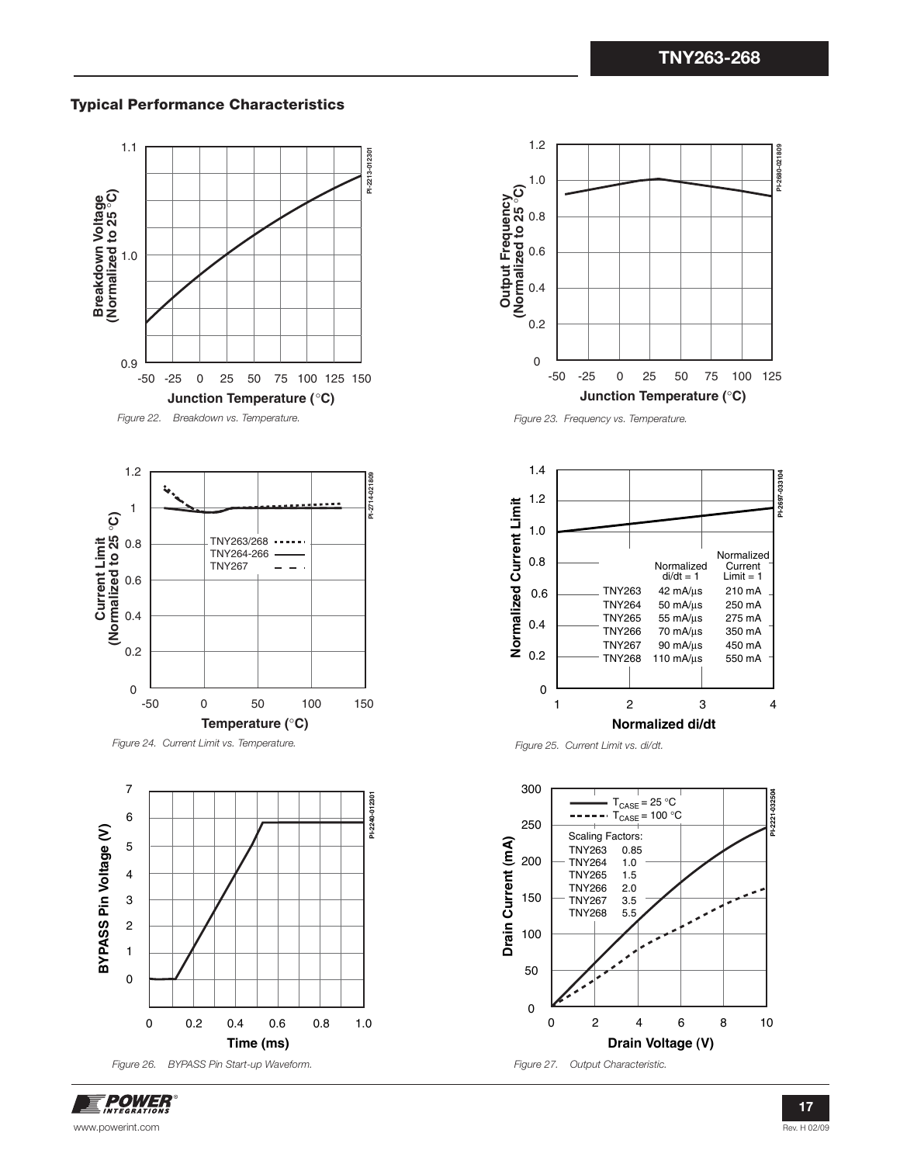### **Typical Performance Characteristics**











Figure 23. Frequency vs. Temperature.



Figure 25. Current Limit vs. di/dt.

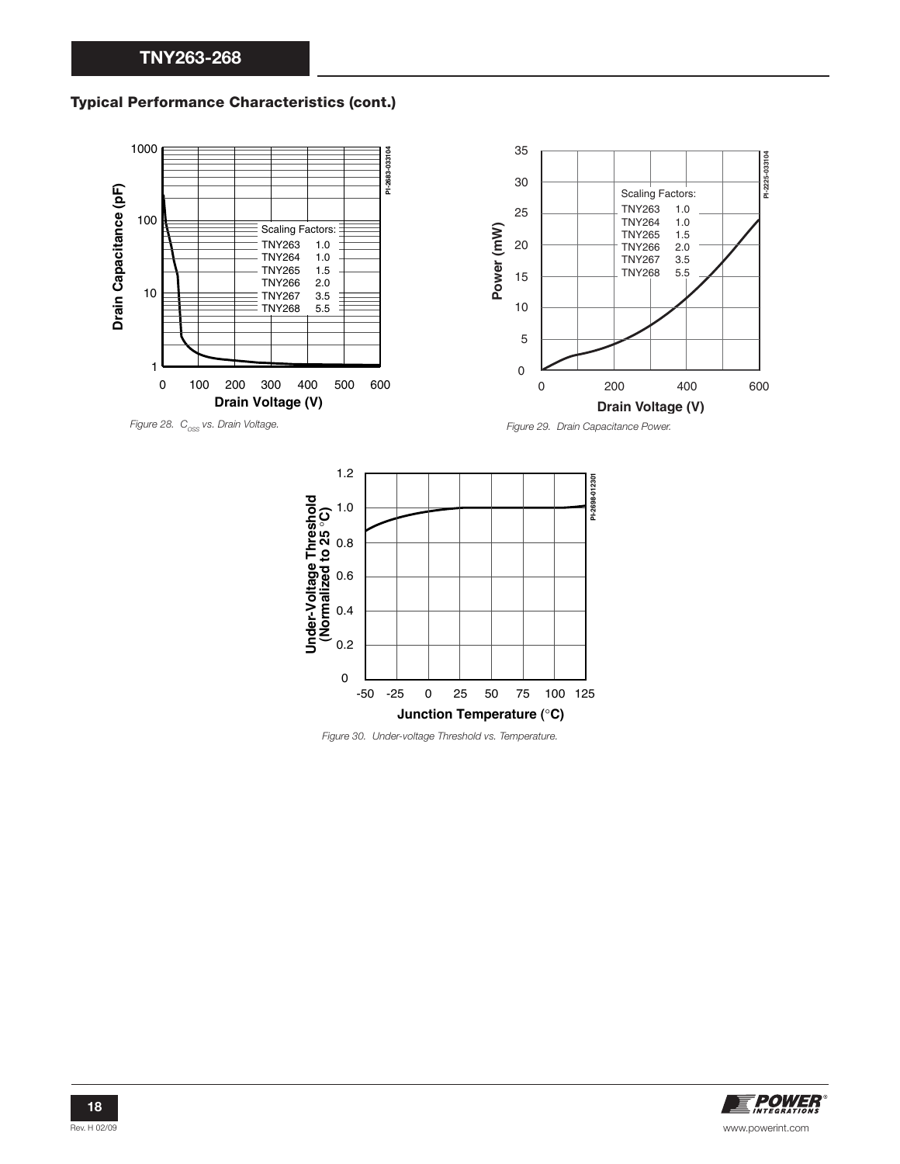#### **Typical Performance Characteristics (cont.)**





Figure 30. Under-voltage Threshold vs. Temperature.

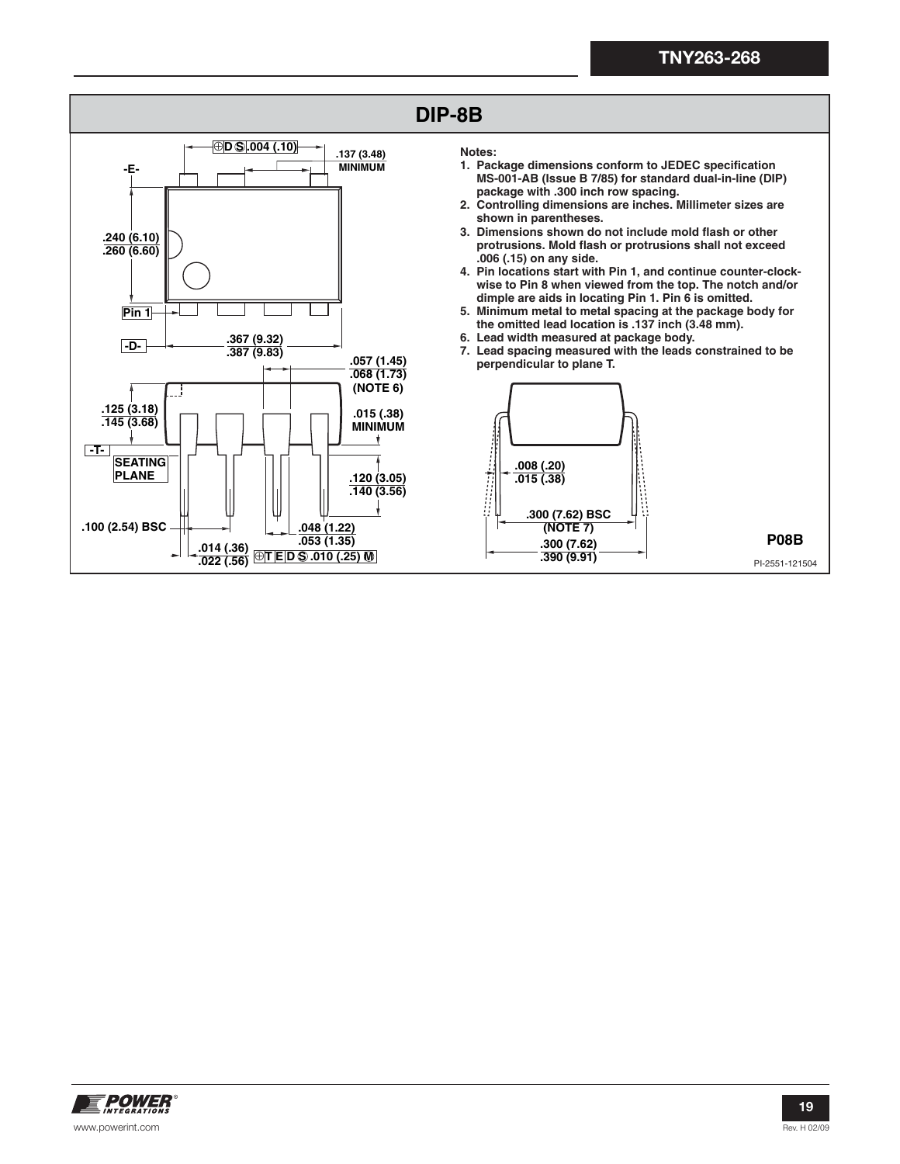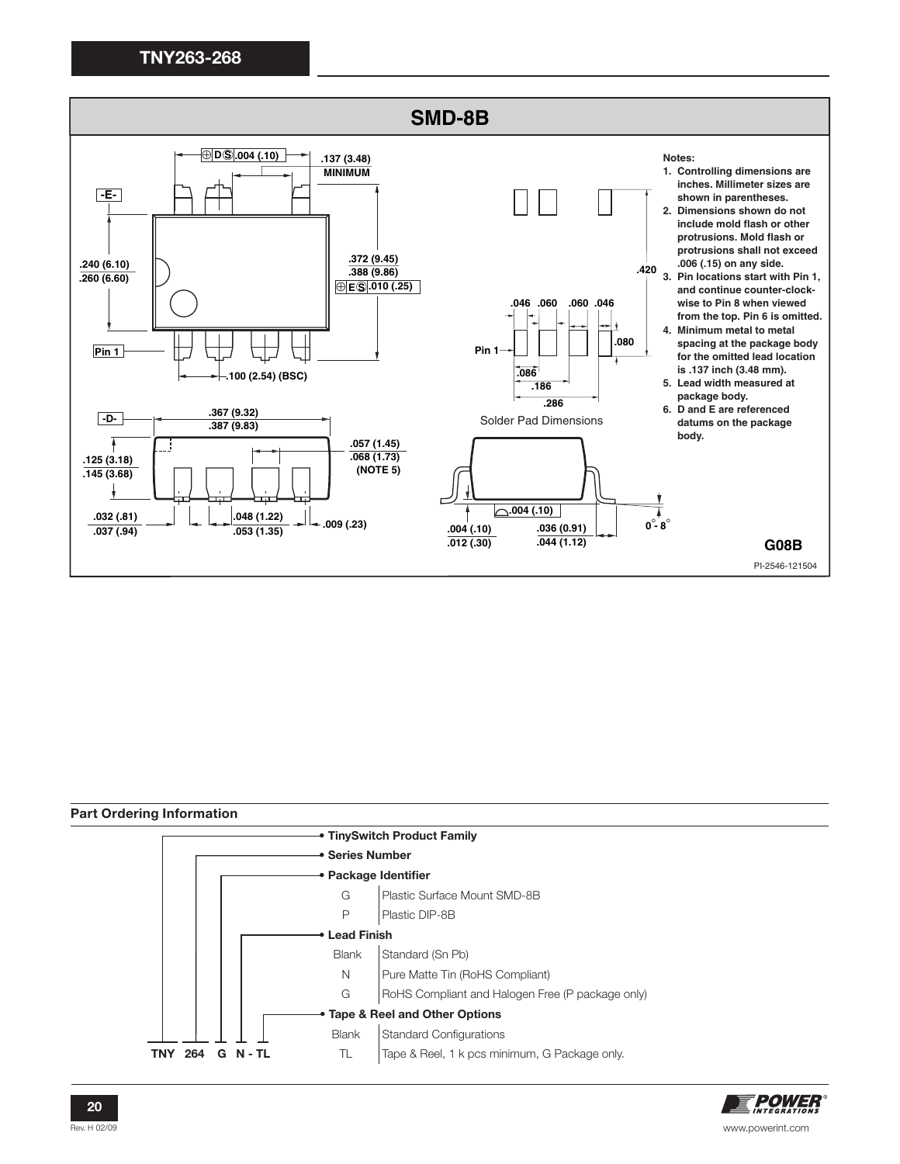

**Part Ordering Information • TinySwitch Product Family Series Number Package Identifier** G Plastic Surface Mount SMD-8B P | Plastic DIP-8B  **• Lead Finish** Blank Standard (Sn Pb) N Pure Matte Tin (RoHS Compliant) G | RoHS Compliant and Halogen Free (P package only) **• Tape & Reel and Other Options** Blank Standard Configurations **TNY 264 G N - TL** TL Tape & Reel, 1 k pcs minimum, G Package only.

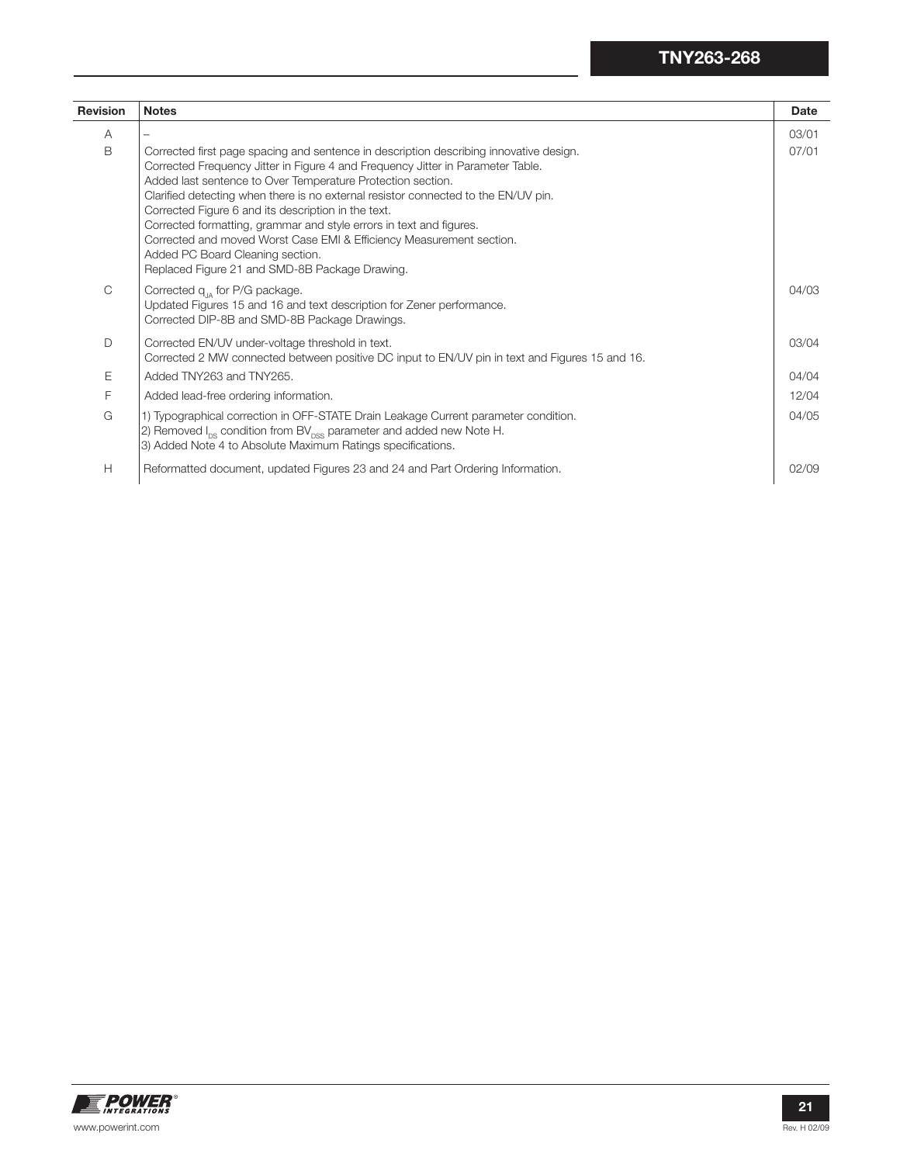| <b>Revision</b> | <b>Notes</b>                                                                                                                                                                                                                                                                                                                                                                                                                                                                                                                                                                                                               | <b>Date</b> |
|-----------------|----------------------------------------------------------------------------------------------------------------------------------------------------------------------------------------------------------------------------------------------------------------------------------------------------------------------------------------------------------------------------------------------------------------------------------------------------------------------------------------------------------------------------------------------------------------------------------------------------------------------------|-------------|
| A               |                                                                                                                                                                                                                                                                                                                                                                                                                                                                                                                                                                                                                            | 03/01       |
| B               | Corrected first page spacing and sentence in description describing innovative design.<br>Corrected Frequency Jitter in Figure 4 and Frequency Jitter in Parameter Table.<br>Added last sentence to Over Temperature Protection section.<br>Clarified detecting when there is no external resistor connected to the EN/UV pin.<br>Corrected Figure 6 and its description in the text.<br>Corrected formatting, grammar and style errors in text and figures.<br>Corrected and moved Worst Case EMI & Efficiency Measurement section.<br>Added PC Board Cleaning section.<br>Replaced Figure 21 and SMD-8B Package Drawing. | 07/01       |
| C               | Corrected $q_{14}$ for P/G package.<br>Updated Figures 15 and 16 and text description for Zener performance.<br>Corrected DIP-8B and SMD-8B Package Drawings.                                                                                                                                                                                                                                                                                                                                                                                                                                                              | 04/03       |
| D               | Corrected EN/UV under-voltage threshold in text.<br>Corrected 2 MW connected between positive DC input to EN/UV pin in text and Figures 15 and 16.                                                                                                                                                                                                                                                                                                                                                                                                                                                                         | 03/04       |
| Ε               | Added TNY263 and TNY265.                                                                                                                                                                                                                                                                                                                                                                                                                                                                                                                                                                                                   | 04/04       |
| F               | Added lead-free ordering information.                                                                                                                                                                                                                                                                                                                                                                                                                                                                                                                                                                                      | 12/04       |
| G               | 1) Typographical correction in OFF-STATE Drain Leakage Current parameter condition.<br>2) Removed $I_{DS}$ condition from BV $_{DSS}$ parameter and added new Note H.<br>3) Added Note 4 to Absolute Maximum Ratings specifications.                                                                                                                                                                                                                                                                                                                                                                                       | 04/05       |
| H               | Reformatted document, updated Figures 23 and 24 and Part Ordering Information.                                                                                                                                                                                                                                                                                                                                                                                                                                                                                                                                             | 02/09       |

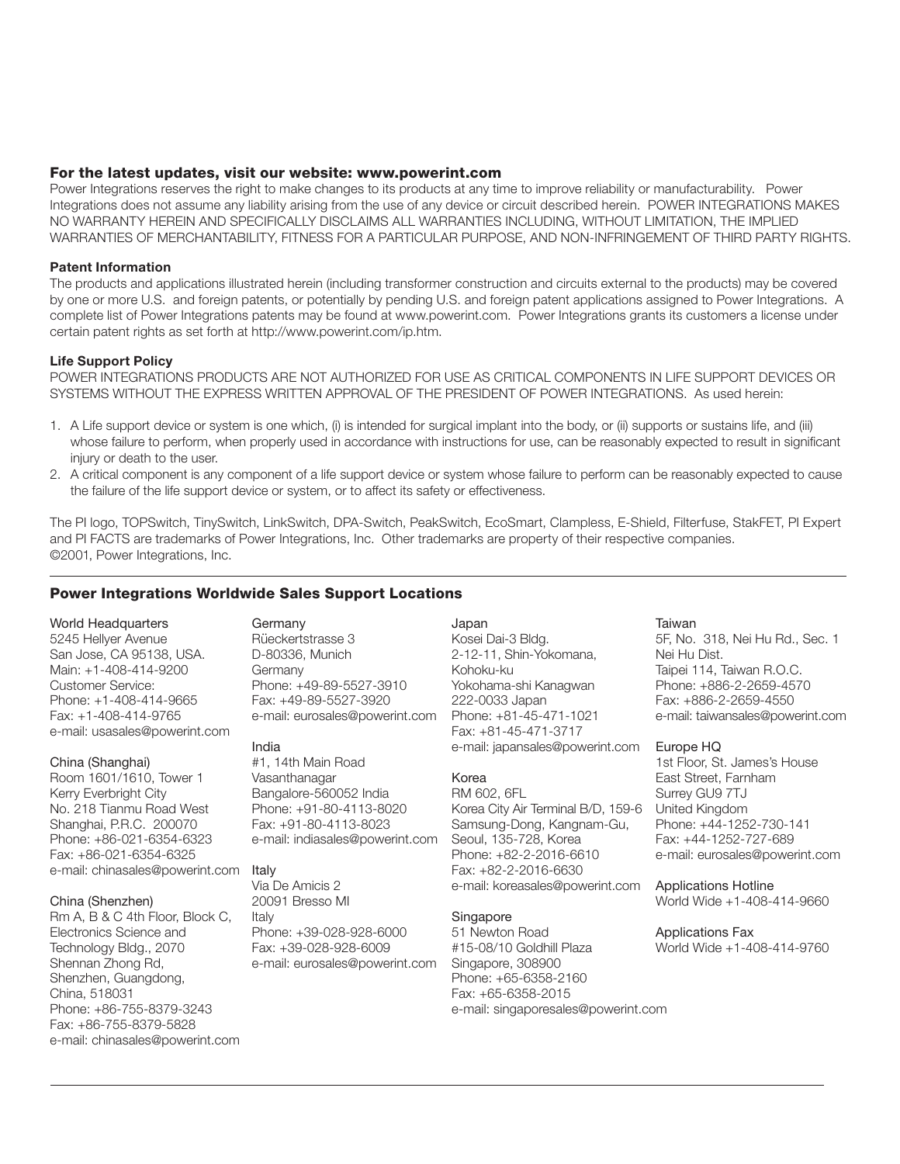#### **For the latest updates, visit our website: www.powerint.com**

Power Integrations reserves the right to make changes to its products at any time to improve reliability or manufacturability. Power Integrations does not assume any liability arising from the use of any device or circuit described herein. POWER INTEGRATIONS MAKES NO WARRANTY HEREIN AND SPECIFICALLY DISCLAIMS ALL WARRANTIES INCLUDING, WITHOUT LIMITATION, THE IMPLIED WARRANTIES OF MERCHANTABILITY, FITNESS FOR A PARTICULAR PURPOSE, AND NON-INFRINGEMENT OF THIRD PARTY RIGHTS.

#### **Patent Information**

The products and applications illustrated herein (including transformer construction and circuits external to the products) may be covered by one or more U.S. and foreign patents, or potentially by pending U.S. and foreign patent applications assigned to Power Integrations. A complete list of Power Integrations patents may be found at www.powerint.com. Power Integrations grants its customers a license under certain patent rights as set forth at http://www.powerint.com/ip.htm.

#### **Life Support Policy**

POWER INTEGRATIONS PRODUCTS ARE NOT AUTHORIZED FOR USE AS CRITICAL COMPONENTS IN LIFE SUPPORT DEVICES OR SYSTEMS WITHOUT THE EXPRESS WRITTEN APPROVAL OF THE PRESIDENT OF POWER INTEGRATIONS. As used herein:

- 1. A Life support device or system is one which, (i) is intended for surgical implant into the body, or (ii) supports or sustains life, and (iii) whose failure to perform, when properly used in accordance with instructions for use, can be reasonably expected to result in significant injury or death to the user.
- 2. A critical component is any component of a life support device or system whose failure to perform can be reasonably expected to cause the failure of the life support device or system, or to affect its safety or effectiveness.

The PI logo, TOPSwitch, TinySwitch, LinkSwitch, DPA-Switch, PeakSwitch, EcoSmart, Clampless, E-Shield, Filterfuse, StakFET, PI Expert and PI FACTS are trademarks of Power Integrations, Inc. Other trademarks are property of their respective companies. ©2001, Power Integrations, Inc.

#### **Power Integrations Worldwide Sales Support Locations**

# World Headquarters

5245 Hellyer Avenue San Jose, CA 95138, USA. Main: +1-408-414-9200 Customer Service: Phone: +1-408-414-9665 Fax: +1-408-414-9765 e-mail: usasales@powerint.com

#### China (Shanghai)

Room 1601/1610, Tower 1 Kerry Everbright City No. 218 Tianmu Road West Shanghai, P.R.C. 200070 Phone: +86-021-6354-6323 Fax: +86-021-6354-6325 e-mail: chinasales@powerint.com Italy

#### China (Shenzhen)

Rm A, B & C 4th Floor, Block C, Electronics Science and Technology Bldg., 2070 Shennan Zhong Rd, Shenzhen, Guangdong, China, 518031 Phone: +86-755-8379-3243 Fax: +86-755-8379-5828 e-mail: chinasales@powerint.com Germany Rüeckertstrasse 3 D-80336, Munich Germany Phone: +49-89-5527-3910 Fax: +49-89-5527-3920 e-mail: eurosales@powerint.com

#### India

#1, 14th Main Road Vasanthanagar Bangalore-560052 India Phone: +91-80-4113-8020 Fax: +91-80-4113-8023 e-mail: indiasales@powerint.com

Via De Amicis 2 20091 Bresso MI Italy Phone: +39-028-928-6000 Fax: +39-028-928-6009 e-mail: eurosales@powerint.com

Japan Kosei Dai-3 Bldg. 2-12-11, Shin-Yokomana, Kohoku-ku Yokohama-shi Kanagwan 222-0033 Japan Phone: +81-45-471-1021 Fax: +81-45-471-3717 e-mail: japansales@powerint.com

#### Korea RM 602, 6FL

Korea City Air Terminal B/D, 159-6 Samsung-Dong, Kangnam-Gu, Seoul, 135-728, Korea Phone: +82-2-2016-6610 Fax: +82-2-2016-6630 e-mail: koreasales@powerint.com

#### **Singapore**

51 Newton Road #15-08/10 Goldhill Plaza Singapore, 308900 Phone: +65-6358-2160 Fax: +65-6358-2015 e-mail: singaporesales@powerint.com

#### Taiwan

5F, No. 318, Nei Hu Rd., Sec. 1 Nei Hu Dist. Taipei 114, Taiwan R.O.C. Phone: +886-2-2659-4570 Fax: +886-2-2659-4550 e-mail: taiwansales@powerint.com

#### Europe HQ

1st Floor, St. James's House East Street, Farnham Surrey GU9 7TJ United Kingdom Phone: +44-1252-730-141 Fax: +44-1252-727-689 e-mail: eurosales@powerint.com

Applications Hotline World Wide +1-408-414-9660

Applications Fax World Wide +1-408-414-9760